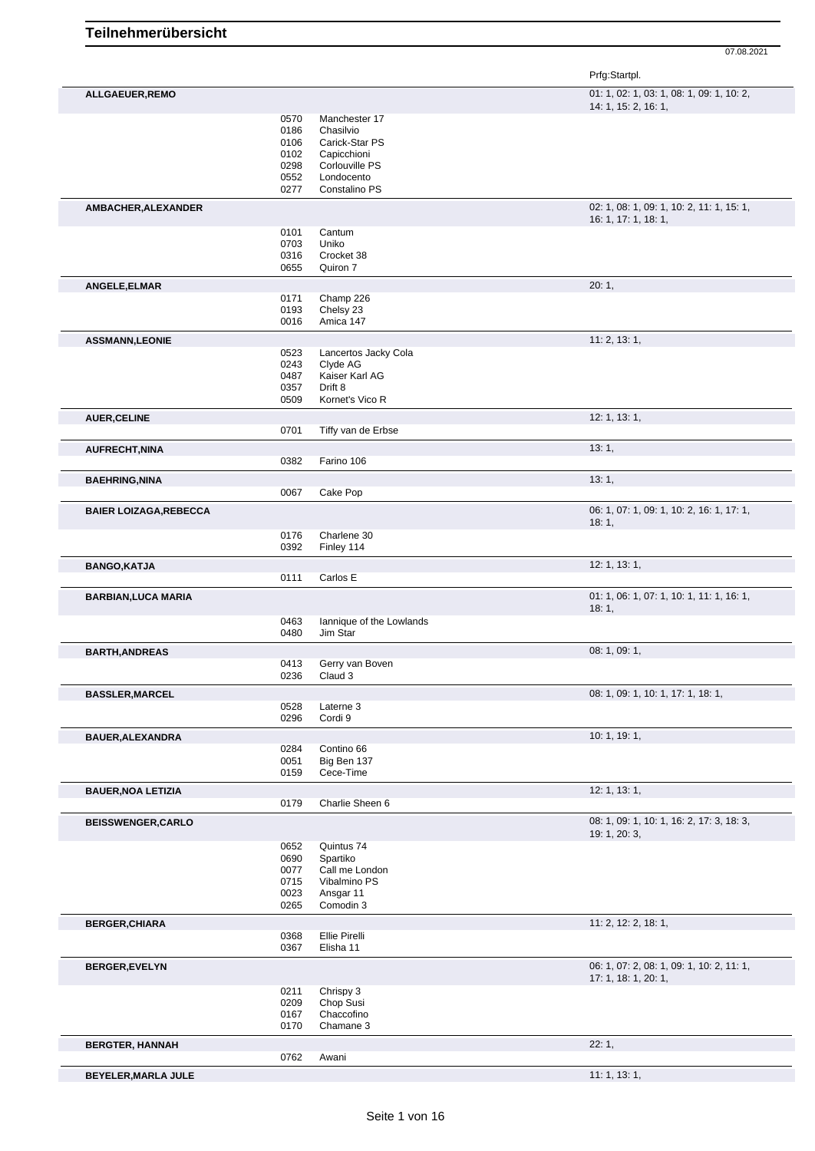|                               |              |                               | Prfg:Startpl.                                                     |
|-------------------------------|--------------|-------------------------------|-------------------------------------------------------------------|
| ALLGAEUER, REMO               |              |                               | 01: 1, 02: 1, 03: 1, 08: 1, 09: 1, 10: 2,<br>14: 1, 15: 2, 16: 1, |
|                               | 0570         | Manchester 17                 |                                                                   |
|                               | 0186         | Chasilvio                     |                                                                   |
|                               | 0106<br>0102 | Carick-Star PS                |                                                                   |
|                               | 0298         | Capicchioni<br>Corlouville PS |                                                                   |
|                               | 0552         | Londocento                    |                                                                   |
|                               | 0277         | Constalino PS                 |                                                                   |
| AMBACHER, ALEXANDER           |              |                               | 02: 1, 08: 1, 09: 1, 10: 2, 11: 1, 15: 1,<br>16: 1, 17: 1, 18: 1, |
|                               | 0101         | Cantum                        |                                                                   |
|                               | 0703         | Uniko                         |                                                                   |
|                               | 0316<br>0655 | Crocket 38<br>Quiron 7        |                                                                   |
|                               |              |                               |                                                                   |
| ANGELE, ELMAR                 |              |                               | 20:1,                                                             |
|                               | 0171<br>0193 | Champ 226<br>Chelsy 23        |                                                                   |
|                               | 0016         | Amica 147                     |                                                                   |
|                               |              |                               |                                                                   |
| <b>ASSMANN,LEONIE</b>         | 0523         | Lancertos Jacky Cola          | 11: 2, 13: 1,                                                     |
|                               | 0243         | Clyde AG                      |                                                                   |
|                               | 0487         | Kaiser Karl AG                |                                                                   |
|                               | 0357         | Drift 8                       |                                                                   |
|                               | 0509         | Kornet's Vico R               |                                                                   |
| <b>AUER, CELINE</b>           |              |                               | 12: 1, 13: 1,                                                     |
|                               | 0701         | Tiffy van de Erbse            |                                                                   |
| <b>AUFRECHT, NINA</b>         |              |                               | 13:1,                                                             |
|                               | 0382         | Farino 106                    |                                                                   |
|                               |              |                               |                                                                   |
| <b>BAEHRING, NINA</b>         | 0067         | Cake Pop                      | 13:1,                                                             |
|                               |              |                               |                                                                   |
| <b>BAIER LOIZAGA, REBECCA</b> |              |                               | 06: 1, 07: 1, 09: 1, 10: 2, 16: 1, 17: 1,<br>18:1,                |
|                               | 0176         | Charlene 30                   |                                                                   |
|                               | 0392         | Finley 114                    |                                                                   |
| <b>BANGO, KATJA</b>           |              |                               | 12: 1, 13: 1,                                                     |
|                               | 0111         | Carlos E                      |                                                                   |
| <b>BARBIAN, LUCA MARIA</b>    |              |                               | 01: 1, 06: 1, 07: 1, 10: 1, 11: 1, 16: 1,                         |
|                               |              |                               | 18:1,                                                             |
|                               | 0463         | lannique of the Lowlands      |                                                                   |
|                               | 0480         | Jim Star                      |                                                                   |
| <b>BARTH, ANDREAS</b>         |              |                               | 08: 1, 09: 1,                                                     |
|                               | 0413         | Gerry van Boven               |                                                                   |
|                               | 0236         | Claud 3                       |                                                                   |
| <b>BASSLER, MARCEL</b>        |              |                               | 08: 1, 09: 1, 10: 1, 17: 1, 18: 1,                                |
|                               | 0528         | Laterne 3                     |                                                                   |
|                               | 0296         | Cordi 9                       |                                                                   |
| <b>BAUER, ALEXANDRA</b>       |              |                               | 10: 1, 19: 1,                                                     |
|                               | 0284         | Contino 66                    |                                                                   |
|                               | 0051         | Big Ben 137                   |                                                                   |
|                               | 0159         | Cece-Time                     |                                                                   |
| <b>BAUER, NOA LETIZIA</b>     |              |                               | 12: 1, 13: 1,                                                     |
|                               | 0179         | Charlie Sheen 6               |                                                                   |
| <b>BEISSWENGER, CARLO</b>     |              |                               | 08: 1, 09: 1, 10: 1, 16: 2, 17: 3, 18: 3,<br>19: 1, 20: 3,        |
|                               | 0652         | Quintus 74                    |                                                                   |
|                               | 0690         | Spartiko                      |                                                                   |
|                               | 0077         | Call me London                |                                                                   |
|                               | 0715         | Vibalmino PS                  |                                                                   |
|                               | 0023         | Ansgar 11                     |                                                                   |
|                               | 0265         | Comodin 3                     |                                                                   |
| <b>BERGER, CHIARA</b>         |              |                               | 11: 2, 12: 2, 18: 1,                                              |
|                               | 0368<br>0367 | Ellie Pirelli<br>Elisha 11    |                                                                   |
|                               |              |                               |                                                                   |
| <b>BERGER, EVELYN</b>         |              |                               | 06: 1, 07: 2, 08: 1, 09: 1, 10: 2, 11: 1,<br>17: 1, 18: 1, 20: 1, |
|                               | 0211         | Chrispy 3                     |                                                                   |
|                               | 0209         | Chop Susi                     |                                                                   |
|                               | 0167         | Chaccofino                    |                                                                   |
|                               | 0170         | Chamane 3                     |                                                                   |
| <b>BERGTER, HANNAH</b>        |              |                               | 22:1,                                                             |
|                               | 0762         | Awani                         |                                                                   |
| <b>BEYELER, MARLA JULE</b>    |              |                               | 11:1, 13:1,                                                       |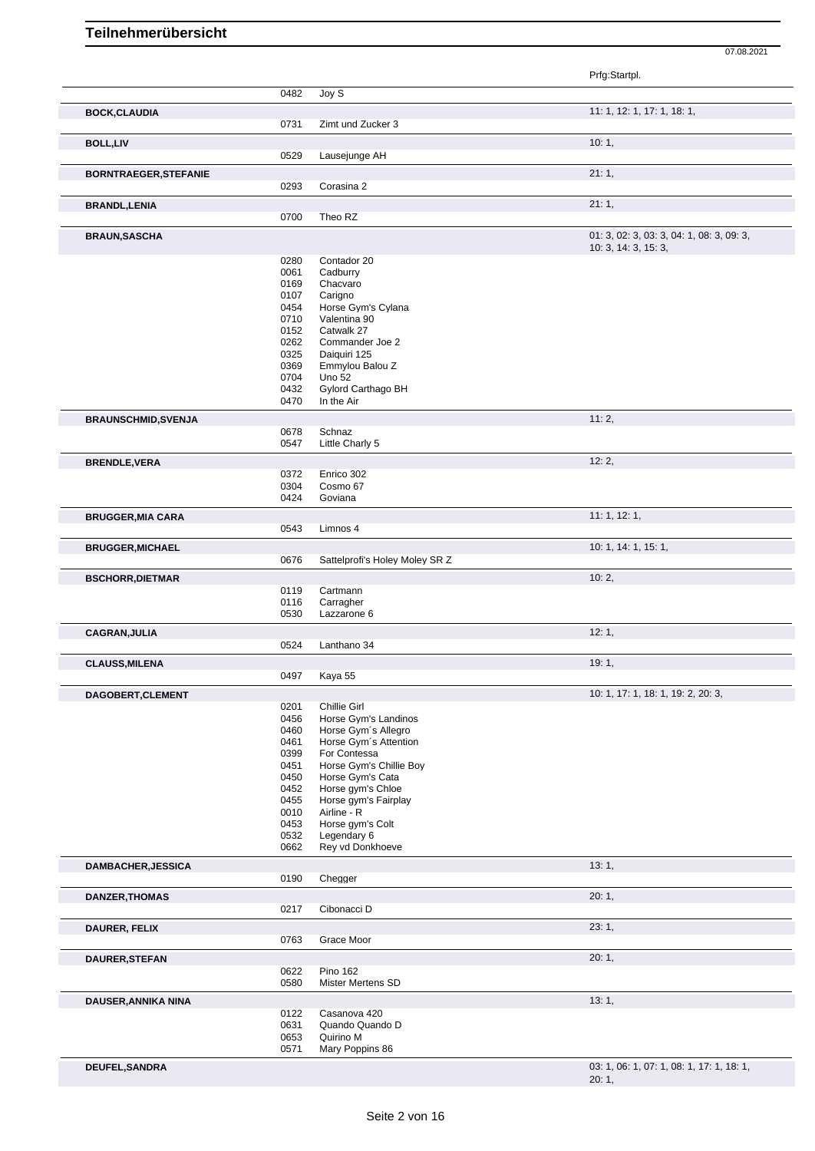|                              |              |                                             | Prfg:Startpl.                             |
|------------------------------|--------------|---------------------------------------------|-------------------------------------------|
|                              | 0482         | Joy S                                       |                                           |
| <b>BOCK, CLAUDIA</b>         |              |                                             | 11: 1, 12: 1, 17: 1, 18: 1,               |
|                              | 0731         | Zimt und Zucker 3                           |                                           |
|                              |              |                                             | 10:1,                                     |
| <b>BOLL,LIV</b>              | 0529         | Lausejunge AH                               |                                           |
|                              |              |                                             |                                           |
| <b>BORNTRAEGER, STEFANIE</b> |              |                                             | 21:1,                                     |
|                              | 0293         | Corasina 2                                  |                                           |
| <b>BRANDL, LENIA</b>         |              |                                             | 21:1,                                     |
|                              | 0700         | Theo RZ                                     |                                           |
| <b>BRAUN, SASCHA</b>         |              |                                             | 01: 3, 02: 3, 03: 3, 04: 1, 08: 3, 09: 3, |
|                              |              |                                             | 10: 3, 14: 3, 15: 3,                      |
|                              | 0280         | Contador 20                                 |                                           |
|                              | 0061         | Cadburry                                    |                                           |
|                              | 0169         | Chacvaro                                    |                                           |
|                              | 0107         | Carigno                                     |                                           |
|                              | 0454<br>0710 | Horse Gym's Cylana<br>Valentina 90          |                                           |
|                              | 0152         | Catwalk 27                                  |                                           |
|                              | 0262         | Commander Joe 2                             |                                           |
|                              | 0325         | Daiquiri 125                                |                                           |
|                              | 0369         | Emmylou Balou Z                             |                                           |
|                              | 0704         | <b>Uno 52</b>                               |                                           |
|                              | 0432         | Gylord Carthago BH                          |                                           |
|                              | 0470         | In the Air                                  |                                           |
| <b>BRAUNSCHMID, SVENJA</b>   |              |                                             | 11:2,                                     |
|                              | 0678         | Schnaz                                      |                                           |
|                              | 0547         | Little Charly 5                             |                                           |
| <b>BRENDLE, VERA</b>         |              |                                             | 12:2,                                     |
|                              | 0372         | Enrico 302                                  |                                           |
|                              | 0304         | Cosmo 67                                    |                                           |
|                              | 0424         | Goviana                                     |                                           |
| <b>BRUGGER, MIA CARA</b>     |              |                                             | 11:1, 12:1,                               |
|                              | 0543         | Limnos 4                                    |                                           |
|                              |              |                                             |                                           |
| <b>BRUGGER, MICHAEL</b>      |              |                                             | 10: 1, 14: 1, 15: 1,                      |
|                              | 0676         | Sattelprofi's Holey Moley SR Z              |                                           |
| <b>BSCHORR, DIETMAR</b>      |              |                                             | 10:2,                                     |
|                              | 0119         | Cartmann                                    |                                           |
|                              | 0116         | Carragher                                   |                                           |
|                              | 0530         | Lazzarone 6                                 |                                           |
| <b>CAGRAN, JULIA</b>         |              |                                             | 12:1,                                     |
|                              | 0524         | Lanthano 34                                 |                                           |
| <b>CLAUSS, MILENA</b>        |              |                                             | 19:1,                                     |
|                              | 0497         | Kaya 55                                     |                                           |
|                              |              |                                             |                                           |
| DAGOBERT, CLEMENT            |              |                                             | 10: 1, 17: 1, 18: 1, 19: 2, 20: 3,        |
|                              | 0201<br>0456 | <b>Chillie Girl</b><br>Horse Gym's Landinos |                                           |
|                              | 0460         | Horse Gym's Allegro                         |                                           |
|                              | 0461         | Horse Gym's Attention                       |                                           |
|                              | 0399         | For Contessa                                |                                           |
|                              | 0451         | Horse Gym's Chillie Boy                     |                                           |
|                              | 0450         | Horse Gym's Cata                            |                                           |
|                              | 0452         | Horse gym's Chloe                           |                                           |
|                              | 0455         | Horse gym's Fairplay                        |                                           |
|                              | 0010         | Airline - R                                 |                                           |
|                              | 0453         | Horse gym's Colt                            |                                           |
|                              | 0532         | Legendary 6<br>Rey vd Donkhoeve             |                                           |
|                              | 0662         |                                             |                                           |
| DAMBACHER, JESSICA           |              |                                             | 13:1,                                     |
|                              | 0190         | Chegger                                     |                                           |
| <b>DANZER, THOMAS</b>        |              |                                             | 20:1,                                     |
|                              | 0217         | Cibonacci D                                 |                                           |
|                              |              |                                             |                                           |
| DAURER, FELIX                |              |                                             | 23:1,                                     |
|                              | 0763         | Grace Moor                                  |                                           |
| DAURER, STEFAN               |              |                                             | 20:1,                                     |
|                              | 0622         | <b>Pino 162</b>                             |                                           |
|                              | 0580         | <b>Mister Mertens SD</b>                    |                                           |
| DAUSER, ANNIKA NINA          |              |                                             | 13:1,                                     |
|                              | 0122         | Casanova 420                                |                                           |
|                              | 0631         | Quando Quando D                             |                                           |
|                              | 0653         | Quirino M                                   |                                           |
|                              | 0571         | Mary Poppins 86                             |                                           |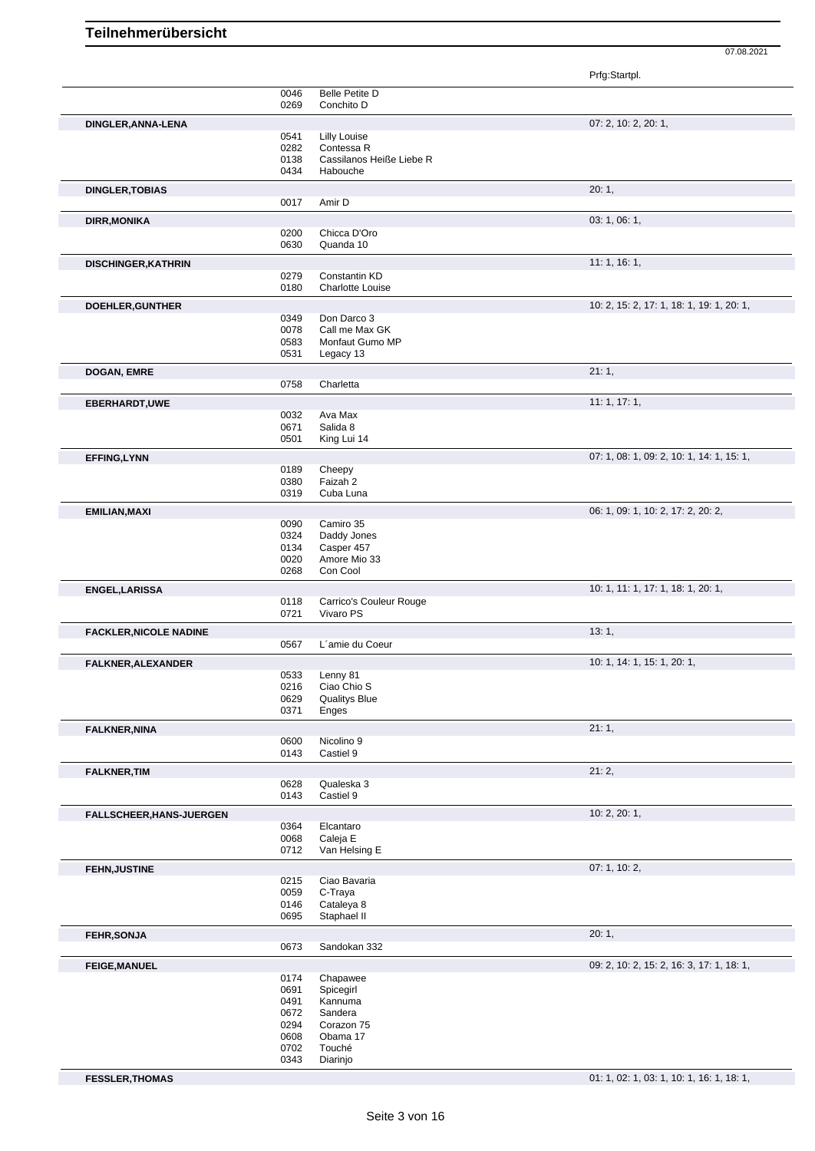|                               |              |                                      | Prfg:Startpl.                             |
|-------------------------------|--------------|--------------------------------------|-------------------------------------------|
|                               | 0046         | <b>Belle Petite D</b>                |                                           |
|                               | 0269         | Conchito D                           |                                           |
| DINGLER, ANNA-LENA            |              |                                      | 07: 2, 10: 2, 20: 1,                      |
|                               | 0541         | <b>Lilly Louise</b>                  |                                           |
|                               | 0282         | Contessa R                           |                                           |
|                               | 0138<br>0434 | Cassilanos Heiße Liebe R<br>Habouche |                                           |
|                               |              |                                      | 20:1,                                     |
| <b>DINGLER, TOBIAS</b>        | 0017         | Amir D                               |                                           |
|                               |              |                                      |                                           |
| <b>DIRR, MONIKA</b>           | 0200         | Chicca D'Oro                         | 03: 1, 06: 1,                             |
|                               | 0630         | Quanda 10                            |                                           |
| <b>DISCHINGER, KATHRIN</b>    |              |                                      | 11:1, 16:1,                               |
|                               | 0279         | Constantin KD                        |                                           |
|                               | 0180         | <b>Charlotte Louise</b>              |                                           |
| DOEHLER, GUNTHER              |              |                                      | 10: 2, 15: 2, 17: 1, 18: 1, 19: 1, 20: 1, |
|                               | 0349         | Don Darco 3                          |                                           |
|                               | 0078         | Call me Max GK                       |                                           |
|                               | 0583<br>0531 | Monfaut Gumo MP<br>Legacy 13         |                                           |
|                               |              |                                      |                                           |
| DOGAN, EMRE                   | 0758         | Charletta                            | 21:1,                                     |
|                               |              |                                      | 11:1, 17:1,                               |
| <b>EBERHARDT,UWE</b>          | 0032         | Ava Max                              |                                           |
|                               | 0671         | Salida 8                             |                                           |
|                               | 0501         | King Lui 14                          |                                           |
| EFFING, LYNN                  |              |                                      | 07: 1, 08: 1, 09: 2, 10: 1, 14: 1, 15: 1, |
|                               | 0189         | Cheepy                               |                                           |
|                               | 0380         | Faizah 2                             |                                           |
|                               | 0319         | Cuba Luna                            |                                           |
| <b>EMILIAN, MAXI</b>          |              |                                      | 06: 1, 09: 1, 10: 2, 17: 2, 20: 2,        |
|                               | 0090         | Camiro 35                            |                                           |
|                               | 0324<br>0134 | Daddy Jones<br>Casper 457            |                                           |
|                               | 0020         | Amore Mio 33                         |                                           |
|                               | 0268         | Con Cool                             |                                           |
| ENGEL, LARISSA                |              |                                      | 10: 1, 11: 1, 17: 1, 18: 1, 20: 1,        |
|                               | 0118         | Carrico's Couleur Rouge              |                                           |
|                               | 0721         | Vivaro PS                            |                                           |
| <b>FACKLER, NICOLE NADINE</b> |              |                                      | 13:1,                                     |
|                               | 0567         | L'amie du Coeur                      |                                           |
| FALKNER, ALEXANDER            |              |                                      | 10: 1, 14: 1, 15: 1, 20: 1,               |
|                               | 0533         | Lenny 81                             |                                           |
|                               | 0216<br>0629 | Ciao Chio S<br><b>Qualitys Blue</b>  |                                           |
|                               | 0371         | Enges                                |                                           |
| <b>FALKNER, NINA</b>          |              |                                      | 21:1,                                     |
|                               | 0600         | Nicolino 9                           |                                           |
|                               | 0143         | Castiel 9                            |                                           |
| <b>FALKNER, TIM</b>           |              |                                      | 21:2,                                     |
|                               | 0628         | Qualeska 3                           |                                           |
|                               | 0143         | Castiel 9                            |                                           |
| FALLSCHEER, HANS-JUERGEN      |              |                                      | 10: 2, 20: 1,                             |
|                               | 0364         | Elcantaro<br>Caleja E                |                                           |
|                               | 0068<br>0712 | Van Helsing E                        |                                           |
|                               |              |                                      | 07: 1, 10: 2,                             |
| <b>FEHN, JUSTINE</b>          | 0215         | Ciao Bavaria                         |                                           |
|                               | 0059         | C-Traya                              |                                           |
|                               | 0146         | Cataleya 8                           |                                           |
|                               | 0695         | Staphael II                          |                                           |
| <b>FEHR, SONJA</b>            |              |                                      | 20:1,                                     |
|                               | 0673         | Sandokan 332                         |                                           |
| <b>FEIGE, MANUEL</b>          |              |                                      | 09: 2, 10: 2, 15: 2, 16: 3, 17: 1, 18: 1, |
|                               | 0174         | Chapawee                             |                                           |
|                               | 0691         | Spicegirl                            |                                           |
|                               | 0491<br>0672 | Kannuma<br>Sandera                   |                                           |
|                               | 0294         | Corazon 75                           |                                           |
|                               | 0608         | Obama 17                             |                                           |
|                               | 0702         | Touché                               |                                           |
|                               | 0343         | Diarinjo                             |                                           |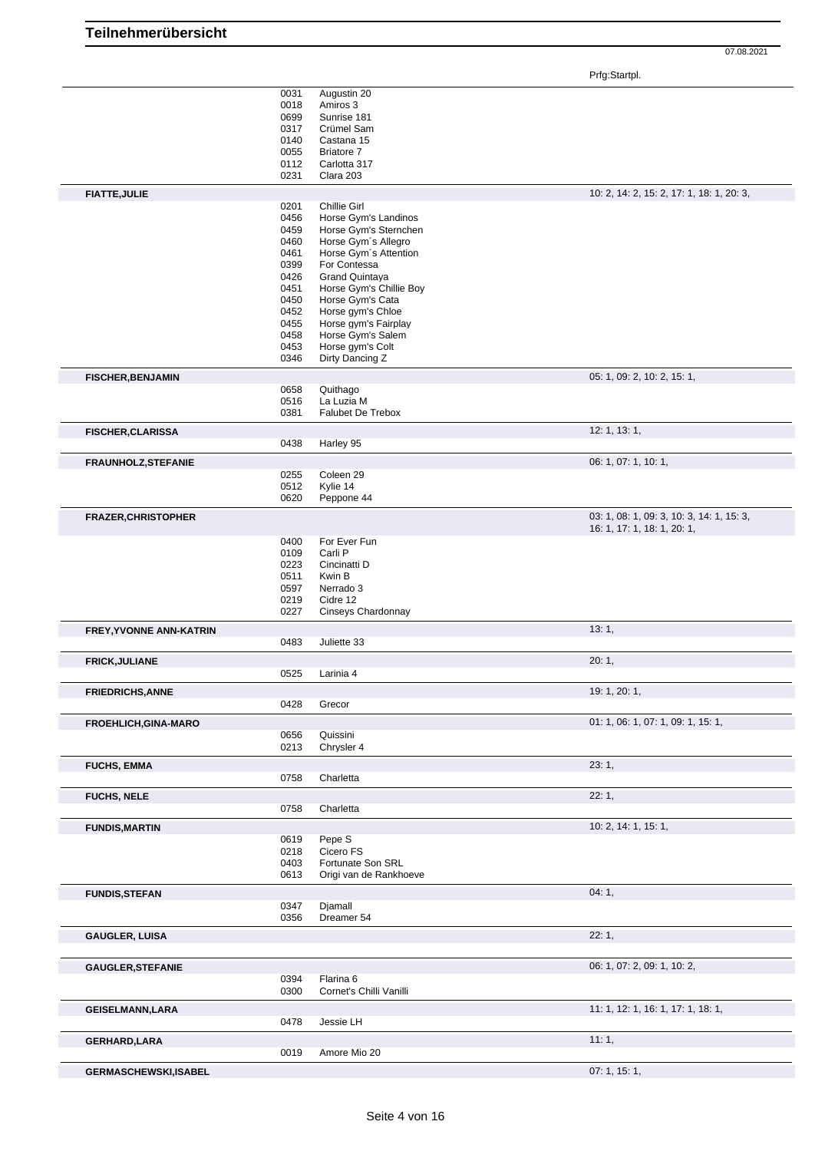|                             |              |                                              | Prfg:Startpl.                             |
|-----------------------------|--------------|----------------------------------------------|-------------------------------------------|
|                             | 0031         | Augustin 20                                  |                                           |
|                             | 0018         | Amiros 3                                     |                                           |
|                             | 0699         | Sunrise 181                                  |                                           |
|                             | 0317         | Crümel Sam                                   |                                           |
|                             | 0140         | Castana 15                                   |                                           |
|                             | 0055         | <b>Briatore 7</b>                            |                                           |
|                             | 0112<br>0231 | Carlotta 317<br>Clara 203                    |                                           |
| <b>FIATTE, JULIE</b>        |              |                                              | 10: 2, 14: 2, 15: 2, 17: 1, 18: 1, 20: 3, |
|                             | 0201         | Chillie Girl                                 |                                           |
|                             | 0456         | Horse Gym's Landinos                         |                                           |
|                             | 0459         | Horse Gym's Sternchen                        |                                           |
|                             | 0460         | Horse Gym's Allegro<br>Horse Gym's Attention |                                           |
|                             | 0461<br>0399 | For Contessa                                 |                                           |
|                             | 0426         | <b>Grand Quintaya</b>                        |                                           |
|                             | 0451         | Horse Gym's Chillie Boy                      |                                           |
|                             | 0450         | Horse Gym's Cata                             |                                           |
|                             | 0452         | Horse gym's Chloe                            |                                           |
|                             | 0455         | Horse gym's Fairplay                         |                                           |
|                             | 0458         | Horse Gym's Salem                            |                                           |
|                             | 0453         | Horse gym's Colt                             |                                           |
|                             | 0346         | Dirty Dancing Z                              |                                           |
| <b>FISCHER, BENJAMIN</b>    | 0658         | Quithago                                     | 05: 1, 09: 2, 10: 2, 15: 1,               |
|                             | 0516<br>0381 | La Luzia M<br><b>Falubet De Trebox</b>       |                                           |
| <b>FISCHER, CLARISSA</b>    |              |                                              | 12: 1, 13: 1,                             |
|                             | 0438         | Harley 95                                    |                                           |
| <b>FRAUNHOLZ, STEFANIE</b>  |              |                                              | 06: 1, 07: 1, 10: 1,                      |
|                             | 0255<br>0512 | Coleen 29<br>Kylie 14                        |                                           |
|                             | 0620         | Peppone 44                                   |                                           |
| <b>FRAZER, CHRISTOPHER</b>  |              |                                              | 03: 1, 08: 1, 09: 3, 10: 3, 14: 1, 15: 3, |
|                             | 0400         | For Ever Fun                                 | 16: 1, 17: 1, 18: 1, 20: 1,               |
|                             | 0109         | Carli P                                      |                                           |
|                             | 0223         | Cincinatti D                                 |                                           |
|                             | 0511         | Kwin B                                       |                                           |
|                             | 0597         | Nerrado 3                                    |                                           |
|                             | 0219         | Cidre 12                                     |                                           |
|                             | 0227         | Cinseys Chardonnay                           |                                           |
| FREY, YVONNE ANN-KATRIN     | 0483         | Juliette 33                                  | 13:1,                                     |
| <b>FRICK, JULIANE</b>       |              |                                              | 20:1,                                     |
|                             | 0525         | Larinia 4                                    |                                           |
| <b>FRIEDRICHS, ANNE</b>     |              |                                              | 19: 1, 20: 1,                             |
|                             | 0428         | Grecor                                       |                                           |
| <b>FROEHLICH, GINA-MARO</b> | 0656         | Quissini                                     | 01: 1, 06: 1, 07: 1, 09: 1, 15: 1,        |
|                             | 0213         | Chrysler 4                                   |                                           |
| <b>FUCHS, EMMA</b>          |              |                                              | 23:1,                                     |
|                             | 0758         | Charletta                                    |                                           |
| <b>FUCHS, NELE</b>          | 0758         | Charletta                                    | 22:1,                                     |
| <b>FUNDIS, MARTIN</b>       |              |                                              | 10: 2, 14: 1, 15: 1,                      |
|                             | 0619         | Pepe S                                       |                                           |
|                             | 0218         | Cicero FS                                    |                                           |
|                             | 0403<br>0613 | Fortunate Son SRL<br>Origi van de Rankhoeve  |                                           |
| <b>FUNDIS, STEFAN</b>       |              |                                              | 04:1,                                     |
|                             | 0347         | Djamall                                      |                                           |
|                             | 0356         | Dreamer 54                                   |                                           |
| GAUGLER, LUISA              |              |                                              | 22:1,                                     |
| <b>GAUGLER, STEFANIE</b>    |              |                                              | 06: 1, 07: 2, 09: 1, 10: 2,               |
|                             | 0394         | Flarina 6                                    |                                           |
|                             | 0300         | Cornet's Chilli Vanilli                      |                                           |
| <b>GEISELMANN, LARA</b>     |              |                                              | 11: 1, 12: 1, 16: 1, 17: 1, 18: 1,        |
|                             | 0478         | Jessie LH                                    |                                           |
| GERHARD, LARA               | 0019         | Amore Mio 20                                 | 11:1,                                     |
|                             |              |                                              | 07:1, 15:1,                               |
| GERMASCHEWSKI, ISABEL       |              |                                              |                                           |

**Teilnehmerübersicht**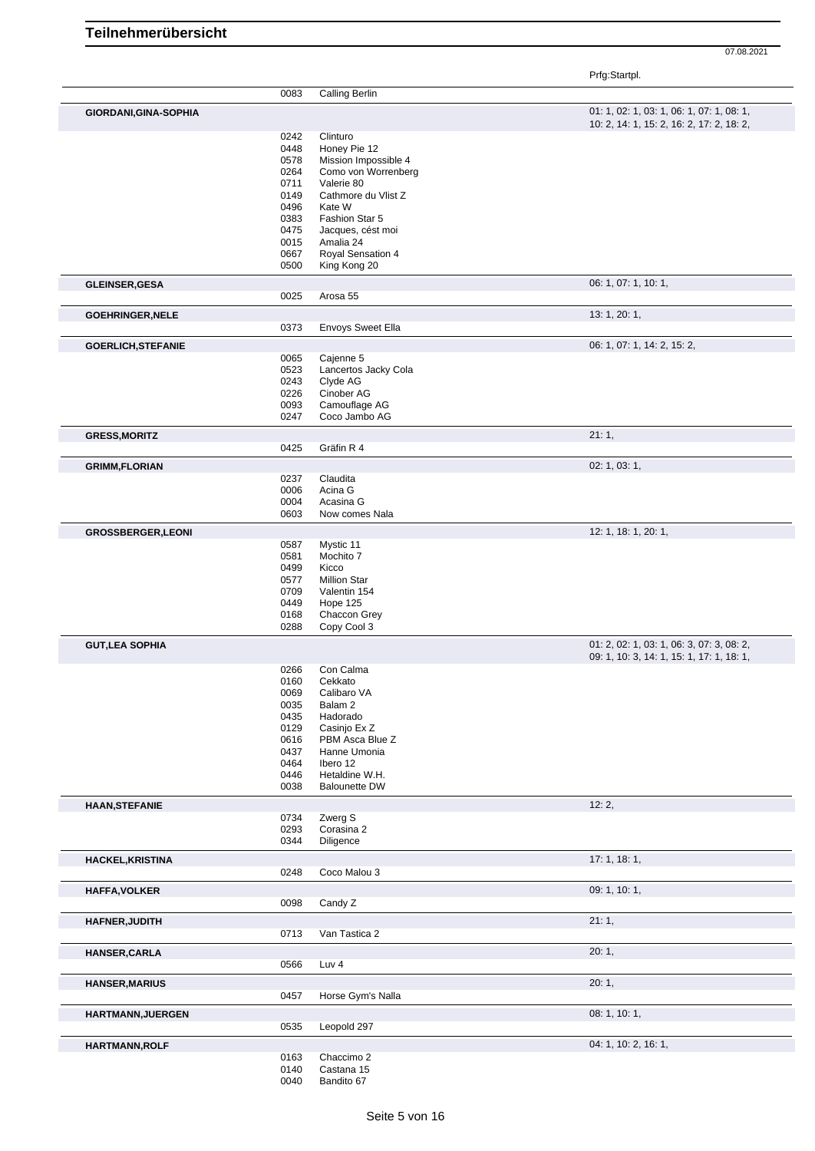Prfg:Startpl.

|                           | 0083         | <b>Calling Berlin</b>                  |                                                                                        |
|---------------------------|--------------|----------------------------------------|----------------------------------------------------------------------------------------|
| GIORDANI, GINA-SOPHIA     |              |                                        | 01: 1, 02: 1, 03: 1, 06: 1, 07: 1, 08: 1,<br>10: 2, 14: 1, 15: 2, 16: 2, 17: 2, 18: 2, |
|                           | 0242         | Clinturo                               |                                                                                        |
|                           | 0448         | Honey Pie 12                           |                                                                                        |
|                           | 0578         | Mission Impossible 4                   |                                                                                        |
|                           | 0264         | Como von Worrenberg                    |                                                                                        |
|                           | 0711         | Valerie 80                             |                                                                                        |
|                           | 0149         | Cathmore du Vlist Z                    |                                                                                        |
|                           | 0496         | Kate W                                 |                                                                                        |
|                           | 0383         | Fashion Star 5                         |                                                                                        |
|                           | 0475         | Jacques, cést moi                      |                                                                                        |
|                           | 0015         | Amalia 24                              |                                                                                        |
|                           | 0667         | Royal Sensation 4                      |                                                                                        |
|                           | 0500         | King Kong 20                           |                                                                                        |
| <b>GLEINSER, GESA</b>     |              |                                        | 06: 1, 07: 1, 10: 1,                                                                   |
|                           | 0025         | Arosa 55                               |                                                                                        |
| <b>GOEHRINGER, NELE</b>   |              |                                        | 13: 1, 20: 1,                                                                          |
|                           | 0373         | <b>Envoys Sweet Ella</b>               |                                                                                        |
|                           |              |                                        | 06: 1, 07: 1, 14: 2, 15: 2,                                                            |
| <b>GOERLICH, STEFANIE</b> | 0065         | Cajenne 5                              |                                                                                        |
|                           | 0523         | Lancertos Jacky Cola                   |                                                                                        |
|                           | 0243         | Clyde AG                               |                                                                                        |
|                           | 0226         | Cinober AG                             |                                                                                        |
|                           | 0093         | Camouflage AG                          |                                                                                        |
|                           | 0247         | Coco Jambo AG                          |                                                                                        |
|                           |              |                                        | 21:1,                                                                                  |
| <b>GRESS, MORITZ</b>      | 0425         | Gräfin R 4                             |                                                                                        |
|                           |              |                                        |                                                                                        |
| <b>GRIMM,FLORIAN</b>      |              |                                        | 02: 1, 03: 1,                                                                          |
|                           | 0237         | Claudita                               |                                                                                        |
|                           | 0006         | Acina G                                |                                                                                        |
|                           | 0004         | Acasina G                              |                                                                                        |
|                           | 0603         | Now comes Nala                         |                                                                                        |
| <b>GROSSBERGER, LEONI</b> |              |                                        | 12: 1, 18: 1, 20: 1,                                                                   |
|                           | 0587         | Mystic 11                              |                                                                                        |
|                           | 0581         | Mochito 7                              |                                                                                        |
|                           | 0499         | Kicco                                  |                                                                                        |
|                           | 0577<br>0709 | <b>Million Star</b><br>Valentin 154    |                                                                                        |
|                           | 0449         | Hope 125                               |                                                                                        |
|                           | 0168         | Chaccon Grey                           |                                                                                        |
|                           | 0288         | Copy Cool 3                            |                                                                                        |
| <b>GUT, LEA SOPHIA</b>    |              |                                        | 01: 2, 02: 1, 03: 1, 06: 3, 07: 3, 08: 2,                                              |
|                           |              |                                        | 09: 1, 10: 3, 14: 1, 15: 1, 17: 1, 18: 1,                                              |
|                           | 0266         | Con Calma                              |                                                                                        |
|                           | 0160         | Cekkato                                |                                                                                        |
|                           | 0069         | Calibaro VA                            |                                                                                        |
|                           | 0035         | Balam 2                                |                                                                                        |
|                           | 0435         | Hadorado                               |                                                                                        |
|                           | 0129         | Casinjo Ex Z                           |                                                                                        |
|                           | 0616         | PBM Asca Blue Z                        |                                                                                        |
|                           | 0437         | Hanne Umonia                           |                                                                                        |
|                           | 0464         | Ibero 12                               |                                                                                        |
|                           | 0446<br>0038 | Hetaldine W.H.<br><b>Balounette DW</b> |                                                                                        |
|                           |              |                                        |                                                                                        |
| <b>HAAN, STEFANIE</b>     |              |                                        | 12:2,                                                                                  |
|                           | 0734         | Zwerg S                                |                                                                                        |
|                           | 0293         | Corasina 2                             |                                                                                        |
|                           | 0344         | Diligence                              |                                                                                        |
| HACKEL, KRISTINA          |              |                                        | 17:1, 18:1,                                                                            |
|                           | 0248         | Coco Malou 3                           |                                                                                        |
| <b>HAFFA, VOLKER</b>      |              |                                        | 09: 1, 10: 1,                                                                          |
|                           | 0098         | Candy Z                                |                                                                                        |
|                           |              |                                        | 21:1,                                                                                  |
| <b>HAFNER, JUDITH</b>     | 0713         | Van Tastica 2                          |                                                                                        |
|                           |              |                                        |                                                                                        |
| HANSER, CARLA             |              |                                        | 20:1,                                                                                  |
|                           | 0566         | Luv 4                                  |                                                                                        |
| <b>HANSER, MARIUS</b>     |              |                                        | 20:1,                                                                                  |
|                           | 0457         | Horse Gym's Nalla                      |                                                                                        |
|                           |              |                                        | 08: 1, 10: 1,                                                                          |
| <b>HARTMANN, JUERGEN</b>  | 0535         | Leopold 297                            |                                                                                        |
|                           |              |                                        |                                                                                        |
| HARTMANN, ROLF            |              |                                        | 04: 1, 10: 2, 16: 1,                                                                   |
|                           | 0163         | Chaccimo 2                             |                                                                                        |
|                           | 0140         | Castana 15                             |                                                                                        |
|                           | 0040         | Bandito 67                             |                                                                                        |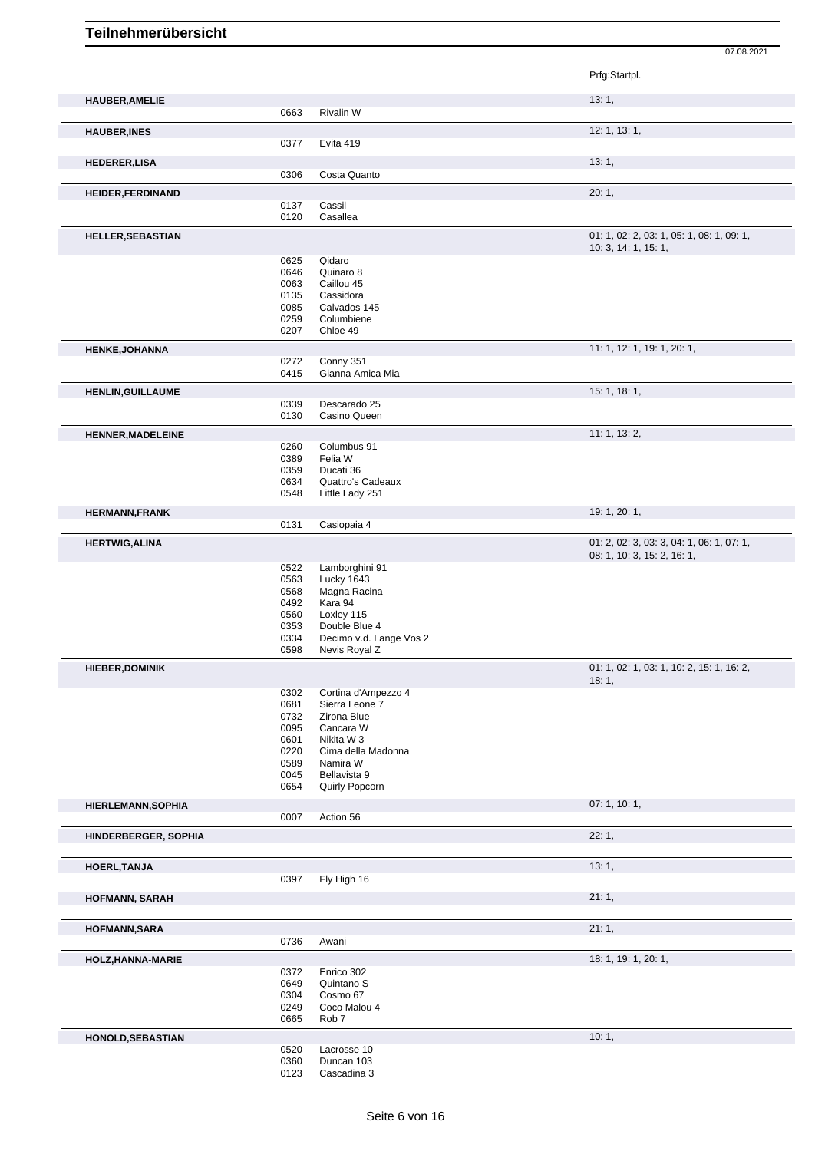|                          |                                                      |                                                                                                                   | Prfg:Startpl.                                                            |
|--------------------------|------------------------------------------------------|-------------------------------------------------------------------------------------------------------------------|--------------------------------------------------------------------------|
| <b>HAUBER, AMELIE</b>    |                                                      |                                                                                                                   | 13:1,                                                                    |
|                          | 0663                                                 | Rivalin W                                                                                                         |                                                                          |
| <b>HAUBER, INES</b>      |                                                      |                                                                                                                   | 12: 1, 13: 1,                                                            |
|                          | 0377                                                 | Evita 419                                                                                                         |                                                                          |
| <b>HEDERER,LISA</b>      | 0306                                                 | Costa Quanto                                                                                                      | 13:1,                                                                    |
|                          |                                                      |                                                                                                                   |                                                                          |
| <b>HEIDER, FERDINAND</b> | 0137                                                 | Cassil                                                                                                            | 20:1,                                                                    |
|                          | 0120                                                 | Casallea                                                                                                          |                                                                          |
| <b>HELLER, SEBASTIAN</b> |                                                      |                                                                                                                   | 01: 1, 02: 2, 03: 1, 05: 1, 08: 1, 09: 1,<br>10: 3, 14: 1, 15: 1,        |
|                          | 0625<br>0646<br>0063<br>0135                         | Qidaro<br>Quinaro 8<br>Caillou 45<br>Cassidora                                                                    |                                                                          |
|                          | 0085<br>0259<br>0207                                 | Calvados 145<br>Columbiene<br>Chloe 49                                                                            |                                                                          |
| HENKE, JOHANNA           |                                                      |                                                                                                                   | 11: 1, 12: 1, 19: 1, 20: 1,                                              |
|                          | 0272                                                 | Conny 351                                                                                                         |                                                                          |
|                          | 0415                                                 | Gianna Amica Mia                                                                                                  |                                                                          |
| <b>HENLIN, GUILLAUME</b> |                                                      |                                                                                                                   | 15: 1, 18: 1,                                                            |
|                          | 0339<br>0130                                         | Descarado 25<br>Casino Queen                                                                                      |                                                                          |
|                          |                                                      |                                                                                                                   | 11: 1, 13: 2,                                                            |
| <b>HENNER, MADELEINE</b> | 0260                                                 | Columbus 91                                                                                                       |                                                                          |
|                          | 0389                                                 | Felia W                                                                                                           |                                                                          |
|                          | 0359<br>0634                                         | Ducati 36<br>Quattro's Cadeaux                                                                                    |                                                                          |
|                          | 0548                                                 | Little Lady 251                                                                                                   |                                                                          |
| <b>HERMANN,FRANK</b>     |                                                      |                                                                                                                   | 19: 1, 20: 1,                                                            |
|                          | 0131                                                 | Casiopaia 4                                                                                                       |                                                                          |
| <b>HERTWIG, ALINA</b>    |                                                      |                                                                                                                   | 01: 2, 02: 3, 03: 3, 04: 1, 06: 1, 07: 1,<br>08: 1, 10: 3, 15: 2, 16: 1, |
|                          | 0522<br>0563<br>0568<br>0492<br>0560<br>0353<br>0334 | Lamborghini 91<br>Lucky 1643<br>Magna Racina<br>Kara 94<br>Loxley 115<br>Double Blue 4<br>Decimo v.d. Lange Vos 2 |                                                                          |
| <b>HIEBER, DOMINIK</b>   | 0598                                                 | Nevis Royal Z                                                                                                     | 01: 1, 02: 1, 03: 1, 10: 2, 15: 1, 16: 2,                                |
|                          | 0302                                                 | Cortina d'Ampezzo 4                                                                                               | 18:1,                                                                    |
|                          | 0681                                                 | Sierra Leone 7                                                                                                    |                                                                          |
|                          | 0732                                                 | Zirona Blue                                                                                                       |                                                                          |
|                          | 0095<br>0601                                         | Cancara W<br>Nikita W 3                                                                                           |                                                                          |
|                          | 0220                                                 | Cima della Madonna                                                                                                |                                                                          |
|                          | 0589<br>0045                                         | Namira W<br>Bellavista 9                                                                                          |                                                                          |
|                          | 0654                                                 | Quirly Popcorn                                                                                                    |                                                                          |
| HIERLEMANN, SOPHIA       |                                                      |                                                                                                                   | 07: 1, 10: 1,                                                            |
|                          | 0007                                                 | Action 56                                                                                                         |                                                                          |
| HINDERBERGER, SOPHIA     |                                                      |                                                                                                                   | 22:1,                                                                    |
|                          |                                                      |                                                                                                                   |                                                                          |
| HOERL, TANJA             |                                                      |                                                                                                                   | 13:1,                                                                    |
|                          | 0397                                                 | Fly High 16                                                                                                       |                                                                          |
| <b>HOFMANN, SARAH</b>    |                                                      |                                                                                                                   | 21:1,                                                                    |
|                          |                                                      |                                                                                                                   |                                                                          |
| <b>HOFMANN, SARA</b>     |                                                      |                                                                                                                   | 21:1,                                                                    |
|                          | 0736                                                 | Awani                                                                                                             |                                                                          |
| HOLZ, HANNA-MARIE        | 0372                                                 | Enrico 302                                                                                                        | 18: 1, 19: 1, 20: 1,                                                     |
|                          | 0649                                                 | Quintano <sub>S</sub>                                                                                             |                                                                          |
|                          | 0304                                                 | Cosmo 67                                                                                                          |                                                                          |
|                          | 0249<br>0665                                         | Coco Malou 4<br>Rob <sub>7</sub>                                                                                  |                                                                          |
|                          |                                                      |                                                                                                                   | 10:1,                                                                    |
| HONOLD, SEBASTIAN        | 0520                                                 | Lacrosse 10                                                                                                       |                                                                          |
|                          | 0360<br>0123                                         | Duncan 103<br>Cascadina 3                                                                                         |                                                                          |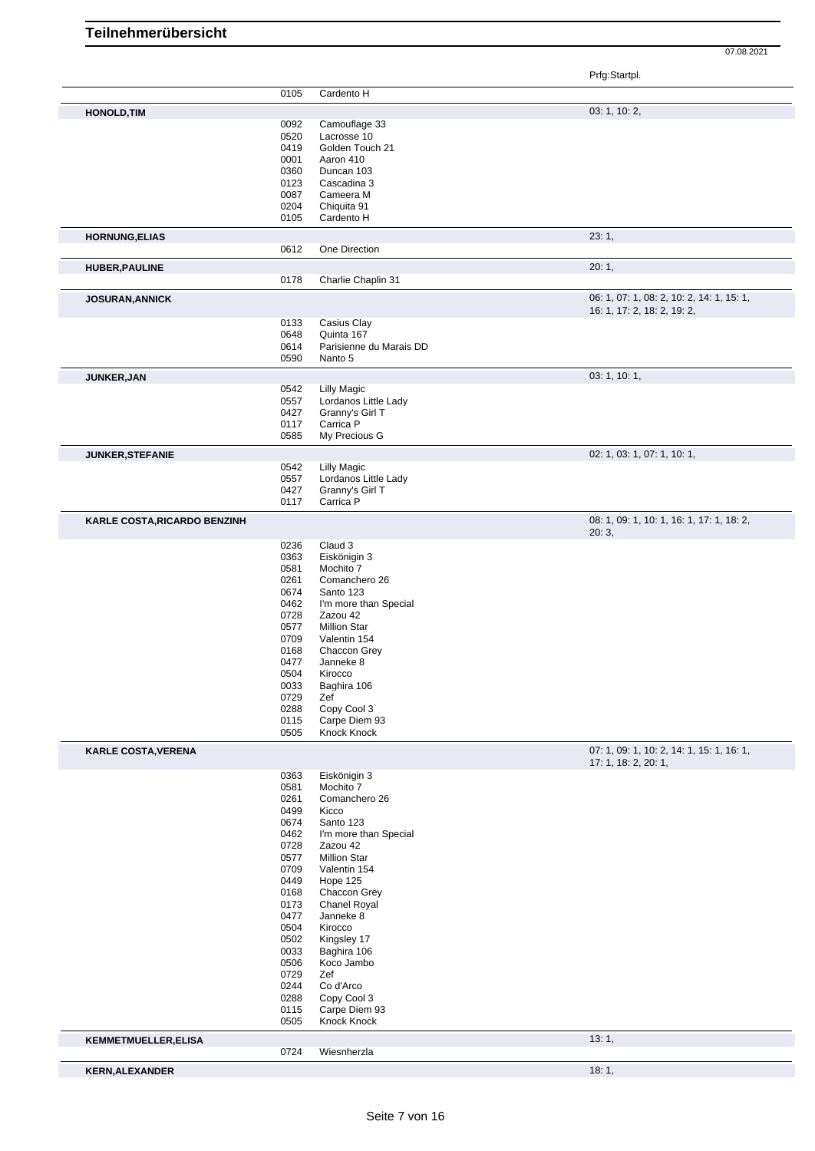|                              |              |                                    | Prfg:Startpl.                             |
|------------------------------|--------------|------------------------------------|-------------------------------------------|
|                              | 0105         | Cardento H                         |                                           |
| <b>HONOLD, TIM</b>           |              |                                    | 03: 1, 10: 2,                             |
|                              | 0092         | Camouflage 33                      |                                           |
|                              | 0520         | Lacrosse 10                        |                                           |
|                              | 0419         | Golden Touch 21                    |                                           |
|                              | 0001         | Aaron 410                          |                                           |
|                              | 0360<br>0123 | Duncan 103<br>Cascadina 3          |                                           |
|                              | 0087         | Cameera M                          |                                           |
|                              | 0204         | Chiquita 91                        |                                           |
|                              | 0105         | Cardento H                         |                                           |
| <b>HORNUNG, ELIAS</b>        |              |                                    | 23:1,                                     |
|                              | 0612         | One Direction                      |                                           |
| <b>HUBER, PAULINE</b>        |              |                                    | 20:1,                                     |
|                              | 0178         | Charlie Chaplin 31                 |                                           |
| <b>JOSURAN, ANNICK</b>       |              |                                    | 06: 1, 07: 1, 08: 2, 10: 2, 14: 1, 15: 1, |
|                              |              |                                    | 16: 1, 17: 2, 18: 2, 19: 2,               |
|                              | 0133         | Casius Clay                        |                                           |
|                              | 0648         | Quinta 167                         |                                           |
|                              | 0614<br>0590 | Parisienne du Marais DD<br>Nanto 5 |                                           |
| JUNKER, JAN                  |              |                                    | 03: 1, 10: 1,                             |
|                              | 0542         | <b>Lilly Magic</b>                 |                                           |
|                              | 0557         | Lordanos Little Lady               |                                           |
|                              | 0427         | Granny's Girl T                    |                                           |
|                              | 0117         | Carrica P                          |                                           |
|                              | 0585         | My Precious G                      |                                           |
| JUNKER, STEFANIE             |              |                                    | 02: 1, 03: 1, 07: 1, 10: 1,               |
|                              | 0542         | <b>Lilly Magic</b>                 |                                           |
|                              | 0557         | Lordanos Little Lady               |                                           |
|                              | 0427         | Granny's Girl T                    |                                           |
|                              | 0117         | Carrica P                          |                                           |
| KARLE COSTA, RICARDO BENZINH |              |                                    | 08: 1, 09: 1, 10: 1, 16: 1, 17: 1, 18: 2, |
|                              | 0236         | Claud 3                            | 20:3,                                     |
|                              | 0363         | Eiskönigin 3                       |                                           |
|                              | 0581         | Mochito 7                          |                                           |
|                              | 0261         | Comanchero 26                      |                                           |
|                              | 0674         | Santo 123                          |                                           |
|                              | 0462         | I'm more than Special              |                                           |
|                              | 0728         | Zazou 42                           |                                           |
|                              | 0577         | <b>Million Star</b>                |                                           |
|                              | 0709<br>0168 | Valentin 154<br>Chaccon Grey       |                                           |
|                              | 0477         | Janneke 8                          |                                           |
|                              | 0504         | Kirocco                            |                                           |
|                              | 0033         | Baghira 106                        |                                           |
|                              | 0729         | Zef                                |                                           |
|                              | 0288         | Copy Cool 3                        |                                           |
|                              | 0115         | Carpe Diem 93                      |                                           |
|                              | 0505         | Knock Knock                        |                                           |
| <b>KARLE COSTA, VERENA</b>   |              |                                    | 07: 1, 09: 1, 10: 2, 14: 1, 15: 1, 16: 1, |
|                              | 0363         | Eiskönigin 3                       | 17: 1, 18: 2, 20: 1,                      |
|                              | 0581         | Mochito 7                          |                                           |
|                              | 0261         | Comanchero 26                      |                                           |
|                              | 0499         | Kicco                              |                                           |
|                              | 0674         | Santo 123                          |                                           |
|                              | 0462         | I'm more than Special              |                                           |
|                              | 0728<br>0577 | Zazou 42<br><b>Million Star</b>    |                                           |
|                              | 0709         | Valentin 154                       |                                           |
|                              | 0449         | Hope 125                           |                                           |
|                              | 0168         | Chaccon Grey                       |                                           |
|                              | 0173         | Chanel Royal                       |                                           |
|                              | 0477         | Janneke 8                          |                                           |
|                              | 0504         | Kirocco                            |                                           |
|                              | 0502         | Kingsley 17                        |                                           |
|                              | 0033         | Baghira 106                        |                                           |
|                              | 0506         | Koco Jambo                         |                                           |
|                              | 0729<br>0244 | Zef<br>Co d'Arco                   |                                           |
|                              | 0288         | Copy Cool 3                        |                                           |
|                              | 0115         | Carpe Diem 93                      |                                           |
|                              | 0505         | Knock Knock                        |                                           |
| <b>KEMMETMUELLER, ELISA</b>  |              |                                    | 13:1,                                     |
|                              | 0724         | Wiesnherzla                        |                                           |
| <b>KERN, ALEXANDER</b>       |              |                                    | 18:1,                                     |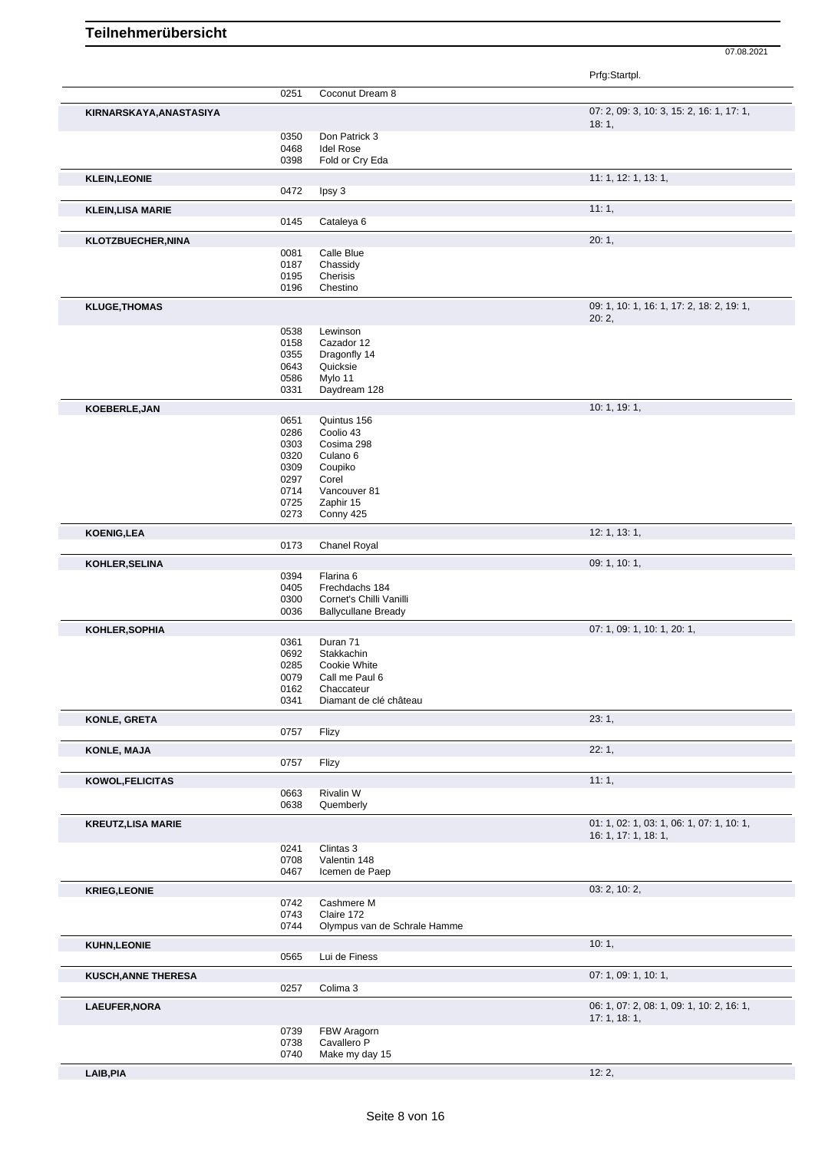|                           |              |                                   | Prfg:Startpl.                                            |
|---------------------------|--------------|-----------------------------------|----------------------------------------------------------|
|                           | 0251         | Coconut Dream 8                   |                                                          |
| KIRNARSKAYA, ANASTASIYA   |              |                                   | 07: 2, 09: 3, 10: 3, 15: 2, 16: 1, 17: 1,<br>18:1,       |
|                           | 0350         | Don Patrick 3                     |                                                          |
|                           | 0468         | <b>Idel Rose</b>                  |                                                          |
|                           | 0398         | Fold or Cry Eda                   |                                                          |
| <b>KLEIN, LEONIE</b>      |              |                                   | 11: 1, 12: 1, 13: 1,                                     |
|                           | 0472         | lpsy 3                            |                                                          |
| <b>KLEIN, LISA MARIE</b>  |              |                                   | 11:1,                                                    |
|                           | 0145         | Cataleya 6                        |                                                          |
| KLOTZBUECHER, NINA        |              |                                   | 20:1,                                                    |
|                           | 0081<br>0187 | Calle Blue<br>Chassidy            |                                                          |
|                           | 0195         | Cherisis                          |                                                          |
|                           | 0196         | Chestino                          |                                                          |
| <b>KLUGE, THOMAS</b>      |              |                                   | 09: 1, 10: 1, 16: 1, 17: 2, 18: 2, 19: 1,                |
|                           |              |                                   | 20:2,                                                    |
|                           | 0538         | Lewinson<br>Cazador 12            |                                                          |
|                           | 0158<br>0355 | Dragonfly 14                      |                                                          |
|                           | 0643         | Quicksie                          |                                                          |
|                           | 0586         | Mvlo 11                           |                                                          |
|                           | 0331         | Daydream 128                      |                                                          |
| KOEBERLE, JAN             |              |                                   | 10:1, 19:1,                                              |
|                           | 0651         | Quintus 156                       |                                                          |
|                           | 0286         | Coolio 43                         |                                                          |
|                           | 0303<br>0320 | Cosima 298<br>Culano <sub>6</sub> |                                                          |
|                           | 0309         | Coupiko                           |                                                          |
|                           | 0297         | Corel                             |                                                          |
|                           | 0714         | Vancouver 81                      |                                                          |
|                           | 0725         | Zaphir 15                         |                                                          |
|                           | 0273         | Conny 425                         |                                                          |
| <b>KOENIG,LEA</b>         | 0173         | Chanel Royal                      | 12: 1, 13: 1,                                            |
|                           |              |                                   | 09: 1, 10: 1,                                            |
| KOHLER, SELINA            | 0394         | Flarina 6                         |                                                          |
|                           | 0405         | Frechdachs 184                    |                                                          |
|                           | 0300         | Cornet's Chilli Vanilli           |                                                          |
|                           | 0036         | <b>Ballycullane Bready</b>        |                                                          |
| KOHLER, SOPHIA            |              |                                   | 07: 1, 09: 1, 10: 1, 20: 1,                              |
|                           | 0361         | Duran 71                          |                                                          |
|                           | 0692         | Stakkachin                        |                                                          |
|                           | 0285         | Cookie White                      |                                                          |
|                           | 0079<br>0162 | Call me Paul 6<br>Chaccateur      |                                                          |
|                           | 0341         | Diamant de clé château            |                                                          |
| KONLE, GRETA              |              |                                   | 23:1,                                                    |
|                           | 0757         | Flizy                             |                                                          |
| <b>KONLE, MAJA</b>        |              |                                   | 22:1,                                                    |
|                           | 0757         | Flizy                             |                                                          |
| KOWOL, FELICITAS          |              |                                   | 11:1,                                                    |
|                           | 0663<br>0638 | Rivalin W<br>Quemberly            |                                                          |
|                           |              |                                   | 01: 1, 02: 1, 03: 1, 06: 1, 07: 1, 10: 1,                |
| <b>KREUTZ, LISA MARIE</b> |              |                                   | 16: 1, 17: 1, 18: 1,                                     |
|                           | 0241         | Clintas 3                         |                                                          |
|                           | 0708<br>0467 | Valentin 148<br>Icemen de Paep    |                                                          |
|                           |              |                                   |                                                          |
| <b>KRIEG,LEONIE</b>       | 0742         | Cashmere M                        | 03: 2, 10: 2,                                            |
|                           | 0743         | Claire 172                        |                                                          |
|                           | 0744         | Olympus van de Schrale Hamme      |                                                          |
| <b>KUHN, LEONIE</b>       |              |                                   | 10:1,                                                    |
|                           | 0565         | Lui de Finess                     |                                                          |
| KUSCH, ANNE THERESA       |              |                                   | 07: 1, 09: 1, 10: 1,                                     |
|                           | 0257         | Colima 3                          |                                                          |
| LAEUFER, NORA             |              |                                   | 06: 1, 07: 2, 08: 1, 09: 1, 10: 2, 16: 1,<br>17:1, 18:1, |
|                           | 0739         | FBW Aragorn                       |                                                          |
|                           | 0738         | Cavallero P                       |                                                          |
|                           | 0740         | Make my day 15                    |                                                          |
| LAIB, PIA                 |              |                                   | 12:2,                                                    |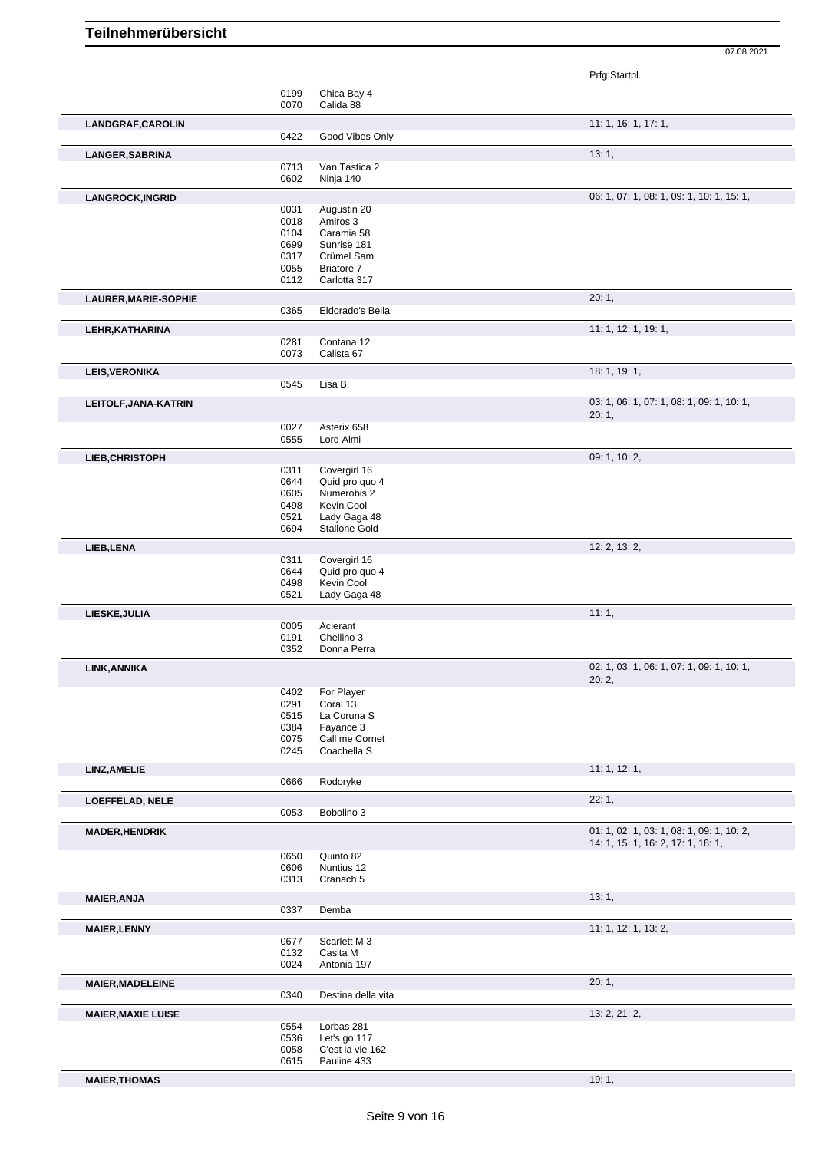|                             | 0199         | Chica Bay 4                   |                                           |
|-----------------------------|--------------|-------------------------------|-------------------------------------------|
| LANDGRAF, CAROLIN           | 0070         | Calida 88                     | 11: 1, 16: 1, 17: 1,                      |
|                             | 0422         | Good Vibes Only               |                                           |
| <b>LANGER, SABRINA</b>      |              |                               | 13:1,                                     |
|                             | 0713         | Van Tastica 2                 |                                           |
|                             | 0602         | Ninja 140                     |                                           |
| <b>LANGROCK, INGRID</b>     |              |                               | 06: 1, 07: 1, 08: 1, 09: 1, 10: 1, 15: 1, |
|                             | 0031<br>0018 | Augustin 20<br>Amiros 3       |                                           |
|                             | 0104         | Caramia 58                    |                                           |
|                             | 0699         | Sunrise 181                   |                                           |
|                             | 0317         | Crümel Sam                    |                                           |
|                             | 0055<br>0112 | Briatore 7<br>Carlotta 317    |                                           |
|                             |              |                               | 20:1,                                     |
| <b>LAURER, MARIE-SOPHIE</b> | 0365         | Eldorado's Bella              |                                           |
|                             |              |                               | 11: 1, 12: 1, 19: 1,                      |
| LEHR, KATHARINA             | 0281         | Contana 12                    |                                           |
|                             | 0073         | Calista 67                    |                                           |
| <b>LEIS, VERONIKA</b>       |              |                               | 18: 1, 19: 1,                             |
|                             | 0545         | Lisa B.                       |                                           |
| LEITOLF, JANA-KATRIN        |              |                               | 03: 1, 06: 1, 07: 1, 08: 1, 09: 1, 10: 1, |
|                             |              |                               | 20:1,                                     |
|                             | 0027         | Asterix 658                   |                                           |
|                             | 0555         | Lord Almi                     |                                           |
| LIEB, CHRISTOPH             |              |                               | 09: 1, 10: 2,                             |
|                             | 0311         | Covergirl 16                  |                                           |
|                             | 0644<br>0605 | Quid pro quo 4<br>Numerobis 2 |                                           |
|                             | 0498         | Kevin Cool                    |                                           |
|                             | 0521         | Lady Gaga 48                  |                                           |
|                             | 0694         | Stallone Gold                 |                                           |
| LIEB, LENA                  |              |                               | 12: 2, 13: 2,                             |
|                             | 0311         | Covergirl 16                  |                                           |
|                             | 0644         | Quid pro quo 4                |                                           |
|                             | 0498<br>0521 | Kevin Cool<br>Lady Gaga 48    |                                           |
|                             |              |                               |                                           |
| LIESKE, JULIA               | 0005         | Acierant                      | 11:1,                                     |
|                             | 0191         | Chellino 3                    |                                           |
|                             | 0352         | Donna Perra                   |                                           |
| LINK, ANNIKA                |              |                               | 02: 1, 03: 1, 06: 1, 07: 1, 09: 1, 10: 1, |
|                             |              |                               | 20:2,                                     |
|                             | 0402<br>0291 | For Player<br>Coral 13        |                                           |
|                             | 0515         | La Coruna S                   |                                           |
|                             | 0384         | Fayance 3                     |                                           |
|                             | 0075         | Call me Cornet                |                                           |
|                             | 0245         | Coachella S                   |                                           |
| LINZ, AMELIE                | 0666         | Rodoryke                      | 11: 1, 12: 1,                             |
|                             |              |                               | 22:1,                                     |
| <b>LOEFFELAD, NELE</b>      | 0053         | Bobolino 3                    |                                           |
| <b>MADER, HENDRIK</b>       |              |                               | 01: 1, 02: 1, 03: 1, 08: 1, 09: 1, 10: 2, |
|                             |              |                               | 14: 1, 15: 1, 16: 2, 17: 1, 18: 1,        |
|                             | 0650         | Quinto 82                     |                                           |
|                             | 0606         | Nuntius 12                    |                                           |
|                             | 0313         | Cranach <sub>5</sub>          |                                           |
| <b>MAIER, ANJA</b>          |              |                               | 13:1,                                     |
|                             | 0337         | Demba                         |                                           |
| <b>MAIER, LENNY</b>         |              |                               | 11: 1, 12: 1, 13: 2,                      |
|                             | 0677<br>0132 | Scarlett M 3<br>Casita M      |                                           |
|                             | 0024         | Antonia 197                   |                                           |
| <b>MAIER, MADELEINE</b>     |              |                               | 20:1,                                     |
|                             | 0340         | Destina della vita            |                                           |
|                             |              |                               |                                           |
| <b>MAIER, MAXIE LUISE</b>   | 0554         | Lorbas 281                    | 13: 2, 21: 2,                             |
|                             | 0536         | Let's go 117                  |                                           |
|                             | 0058         | C'est la vie 162              |                                           |
|                             | 0615         | Pauline 433                   |                                           |
| <b>MAIER, THOMAS</b>        |              |                               | 19:1,                                     |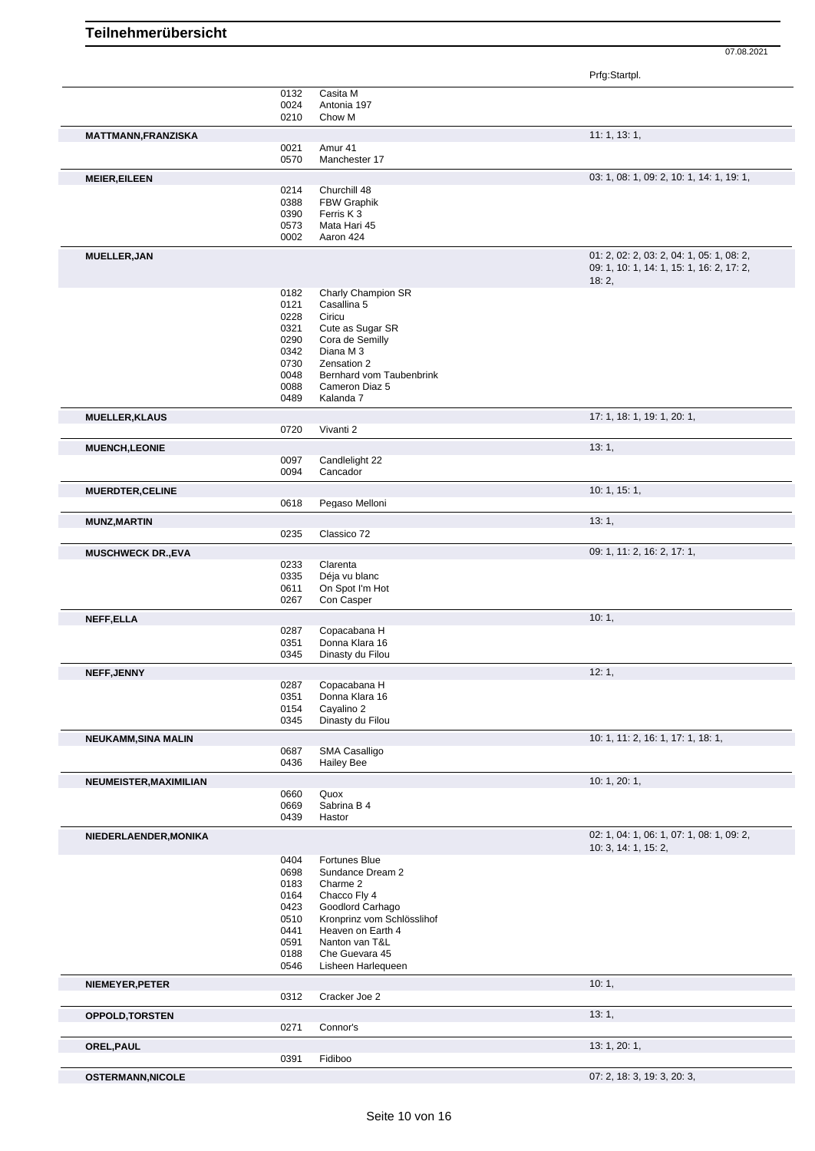|--|

|                            | 0132 | Casita M                   |                                           |
|----------------------------|------|----------------------------|-------------------------------------------|
|                            | 0024 | Antonia 197                |                                           |
|                            | 0210 | Chow M                     |                                           |
|                            |      |                            |                                           |
| <b>MATTMANN,FRANZISKA</b>  |      |                            | 11: 1, 13: 1,                             |
|                            | 0021 | Amur 41                    |                                           |
|                            | 0570 | Manchester 17              |                                           |
|                            |      |                            |                                           |
| <b>MEIER, EILEEN</b>       |      |                            | 03: 1, 08: 1, 09: 2, 10: 1, 14: 1, 19: 1, |
|                            | 0214 | Churchill 48               |                                           |
|                            | 0388 | FBW Graphik                |                                           |
|                            | 0390 | Ferris K 3                 |                                           |
|                            |      |                            |                                           |
|                            | 0573 | Mata Hari 45               |                                           |
|                            | 0002 | Aaron 424                  |                                           |
|                            |      |                            | 01: 2, 02: 2, 03: 2, 04: 1, 05: 1, 08: 2, |
| MUELLER, JAN               |      |                            |                                           |
|                            |      |                            | 09: 1, 10: 1, 14: 1, 15: 1, 16: 2, 17: 2, |
|                            |      |                            | 18:2,                                     |
|                            | 0182 | Charly Champion SR         |                                           |
|                            | 0121 | Casallina 5                |                                           |
|                            | 0228 | Ciricu                     |                                           |
|                            |      |                            |                                           |
|                            | 0321 | Cute as Sugar SR           |                                           |
|                            | 0290 | Cora de Semilly            |                                           |
|                            | 0342 | Diana M 3                  |                                           |
|                            | 0730 | Zensation 2                |                                           |
|                            |      |                            |                                           |
|                            | 0048 | Bernhard vom Taubenbrink   |                                           |
|                            | 0088 | Cameron Diaz 5             |                                           |
|                            | 0489 | Kalanda 7                  |                                           |
|                            |      |                            |                                           |
| <b>MUELLER, KLAUS</b>      |      |                            | 17: 1, 18: 1, 19: 1, 20: 1,               |
|                            | 0720 | Vivanti 2                  |                                           |
| <b>MUENCH,LEONIE</b>       |      |                            | 13:1,                                     |
|                            | 0097 | Candlelight 22             |                                           |
|                            | 0094 | Cancador                   |                                           |
|                            |      |                            |                                           |
| <b>MUERDTER, CELINE</b>    |      |                            | 10:1, 15:1,                               |
|                            | 0618 | Pegaso Melloni             |                                           |
| <b>MUNZ, MARTIN</b>        |      |                            | 13:1,                                     |
|                            | 0235 | Classico 72                |                                           |
|                            |      |                            |                                           |
| <b>MUSCHWECK DR., EVA</b>  |      |                            | 09: 1, 11: 2, 16: 2, 17: 1,               |
|                            | 0233 | Clarenta                   |                                           |
|                            | 0335 | Déja vu blanc              |                                           |
|                            | 0611 | On Spot I'm Hot            |                                           |
|                            |      |                            |                                           |
|                            | 0267 | Con Casper                 |                                           |
| NEFF, ELLA                 |      |                            | 10:1,                                     |
|                            | 0287 | Copacabana H               |                                           |
|                            |      |                            |                                           |
|                            | 0351 | Donna Klara 16             |                                           |
|                            | 0345 | Dinasty du Filou           |                                           |
| NEFF, JENNY                |      |                            | 12:1,                                     |
|                            | 0287 | Copacabana H               |                                           |
|                            |      |                            |                                           |
|                            | 0351 | Donna Klara 16             |                                           |
|                            | 0154 | Cayalino 2                 |                                           |
|                            | 0345 | Dinasty du Filou           |                                           |
| <b>NEUKAMM, SINA MALIN</b> |      |                            | 10: 1, 11: 2, 16: 1, 17: 1, 18: 1,        |
|                            | 0687 | SMA Casalligo              |                                           |
|                            | 0436 | <b>Hailey Bee</b>          |                                           |
|                            |      |                            |                                           |
| NEUMEISTER, MAXIMILIAN     |      |                            | 10: 1, 20: 1,                             |
|                            | 0660 | Quox                       |                                           |
|                            | 0669 | Sabrina B 4                |                                           |
|                            | 0439 | Hastor                     |                                           |
|                            |      |                            | 02: 1, 04: 1, 06: 1, 07: 1, 08: 1, 09: 2, |
| NIEDERLAENDER, MONIKA      |      |                            | 10: 3, 14: 1, 15: 2,                      |
|                            | 0404 | <b>Fortunes Blue</b>       |                                           |
|                            |      |                            |                                           |
|                            | 0698 | Sundance Dream 2           |                                           |
|                            | 0183 | Charme 2                   |                                           |
|                            | 0164 | Chacco Fly 4               |                                           |
|                            | 0423 | Goodlord Carhago           |                                           |
|                            | 0510 | Kronprinz vom Schlösslihof |                                           |
|                            |      |                            |                                           |
|                            | 0441 | Heaven on Earth 4          |                                           |
|                            | 0591 | Nanton van T&L             |                                           |
|                            | 0188 | Che Guevara 45             |                                           |
|                            | 0546 | Lisheen Harlequeen         |                                           |
| NIEMEYER, PETER            |      |                            | 10:1,                                     |
|                            | 0312 | Cracker Joe 2              |                                           |
|                            |      |                            |                                           |
| <b>OPPOLD, TORSTEN</b>     |      |                            | 13:1,                                     |
|                            | 0271 | Connor's                   |                                           |
| OREL, PAUL                 |      |                            | 13: 1, 20: 1,                             |
|                            | 0391 | Fidiboo                    |                                           |
| <b>OSTERMANN, NICOLE</b>   |      |                            | 07: 2, 18: 3, 19: 3, 20: 3,               |
|                            |      |                            |                                           |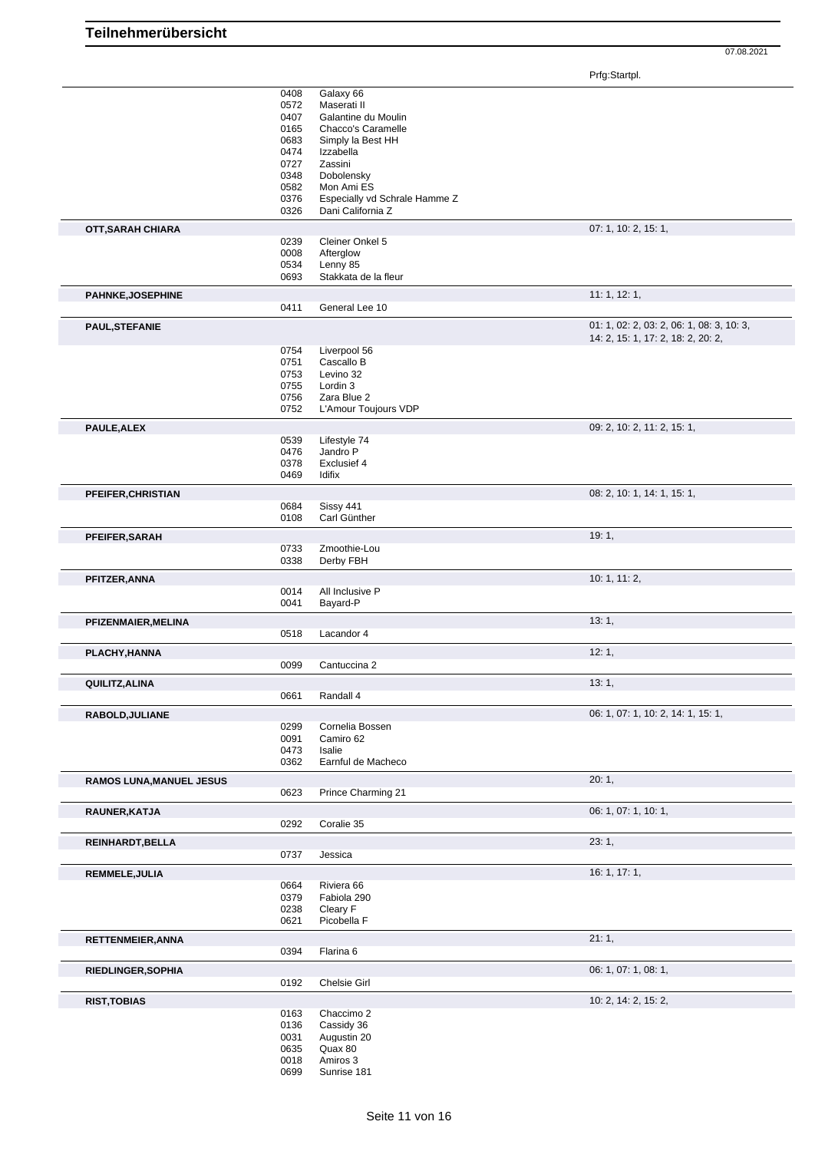Prfg:Startpl.

|                                 | 0408 | Galaxy 66                     |                                           |
|---------------------------------|------|-------------------------------|-------------------------------------------|
|                                 |      |                               |                                           |
|                                 | 0572 | Maserati II                   |                                           |
|                                 | 0407 | Galantine du Moulin           |                                           |
|                                 | 0165 | Chacco's Caramelle            |                                           |
|                                 | 0683 | Simply la Best HH             |                                           |
|                                 | 0474 | Izzabella                     |                                           |
|                                 |      |                               |                                           |
|                                 | 0727 | Zassini                       |                                           |
|                                 | 0348 | Dobolensky                    |                                           |
|                                 | 0582 | Mon Ami ES                    |                                           |
|                                 | 0376 | Especially vd Schrale Hamme Z |                                           |
|                                 | 0326 | Dani California Z             |                                           |
|                                 |      |                               |                                           |
| OTT, SARAH CHIARA               |      |                               | 07: 1, 10: 2, 15: 1,                      |
|                                 | 0239 | Cleiner Onkel 5               |                                           |
|                                 | 0008 | Afterglow                     |                                           |
|                                 | 0534 | Lenny 85                      |                                           |
|                                 | 0693 | Stakkata de la fleur          |                                           |
| <b>PAHNKE, JOSEPHINE</b>        |      |                               | 11:1, 12:1,                               |
|                                 | 0411 | General Lee 10                |                                           |
|                                 |      |                               | 01: 1, 02: 2, 03: 2, 06: 1, 08: 3, 10: 3, |
| <b>PAUL, STEFANIE</b>           |      |                               | 14: 2, 15: 1, 17: 2, 18: 2, 20: 2,        |
|                                 |      | Liverpool 56                  |                                           |
|                                 | 0754 |                               |                                           |
|                                 | 0751 | Cascallo B                    |                                           |
|                                 | 0753 | Levino 32                     |                                           |
|                                 | 0755 | Lordin 3                      |                                           |
|                                 | 0756 | Zara Blue 2                   |                                           |
|                                 | 0752 | L'Amour Toujours VDP          |                                           |
| PAULE, ALEX                     |      |                               | 09: 2, 10: 2, 11: 2, 15: 1,               |
|                                 | 0539 | Lifestyle 74                  |                                           |
|                                 |      |                               |                                           |
|                                 | 0476 | Jandro P                      |                                           |
|                                 | 0378 | Exclusief 4                   |                                           |
|                                 | 0469 | Idifix                        |                                           |
| PFEIFER, CHRISTIAN              |      |                               | 08: 2, 10: 1, 14: 1, 15: 1,               |
|                                 | 0684 | Sissy 441                     |                                           |
|                                 | 0108 | Carl Günther                  |                                           |
| PFEIFER, SARAH                  |      |                               | 19:1,                                     |
|                                 | 0733 | Zmoothie-Lou                  |                                           |
|                                 | 0338 | Derby FBH                     |                                           |
|                                 |      |                               |                                           |
| PFITZER, ANNA                   |      |                               | 10: 1, 11: 2,                             |
|                                 | 0014 | All Inclusive P               |                                           |
|                                 | 0041 | Bayard-P                      |                                           |
| PFIZENMAIER, MELINA             |      |                               | 13:1,                                     |
|                                 | 0518 | Lacandor 4                    |                                           |
|                                 |      |                               |                                           |
| PLACHY, HANNA                   |      |                               | 12:1,                                     |
|                                 | 0099 | Cantuccina 2                  |                                           |
| QUILITZ, ALINA                  |      |                               | 13:1,                                     |
|                                 | 0661 | Randall 4                     |                                           |
|                                 |      |                               |                                           |
| RABOLD, JULIANE                 |      |                               | 06: 1, 07: 1, 10: 2, 14: 1, 15: 1,        |
|                                 | 0299 | Cornelia Bossen               |                                           |
|                                 | 0091 | Camiro 62                     |                                           |
|                                 | 0473 | Isalie                        |                                           |
|                                 | 0362 | Earnful de Macheco            |                                           |
| <b>RAMOS LUNA, MANUEL JESUS</b> |      |                               | 20:1,                                     |
|                                 | 0623 | Prince Charming 21            |                                           |
| RAUNER, KATJA                   |      |                               | 06: 1, 07: 1, 10: 1,                      |
|                                 | 0292 | Coralie 35                    |                                           |
|                                 |      |                               |                                           |
| REINHARDT, BELLA                |      |                               | 23:1,                                     |
|                                 | 0737 | Jessica                       |                                           |
| REMMELE, JULIA                  |      |                               | 16: 1, 17: 1,                             |
|                                 | 0664 | Riviera 66                    |                                           |
|                                 |      |                               |                                           |
|                                 | 0379 | Fabiola 290                   |                                           |
|                                 | 0238 | Cleary F                      |                                           |
|                                 | 0621 | Picobella F                   |                                           |
| RETTENMEIER, ANNA               |      |                               | 21:1,                                     |
|                                 | 0394 | Flarina 6                     |                                           |
| RIEDLINGER, SOPHIA              |      |                               | 06: 1, 07: 1, 08: 1,                      |
|                                 | 0192 | Chelsie Girl                  |                                           |
|                                 |      |                               | 10: 2, 14: 2, 15: 2,                      |
| <b>RIST, TOBIAS</b>             | 0163 | Chaccimo 2                    |                                           |
|                                 |      |                               |                                           |
|                                 | 0136 | Cassidy 36                    |                                           |
|                                 | 0031 | Augustin 20                   |                                           |
|                                 |      | Quax 80                       |                                           |
|                                 | 0635 |                               |                                           |
|                                 | 0018 | Amiros 3                      |                                           |
|                                 | 0699 | Sunrise 181                   |                                           |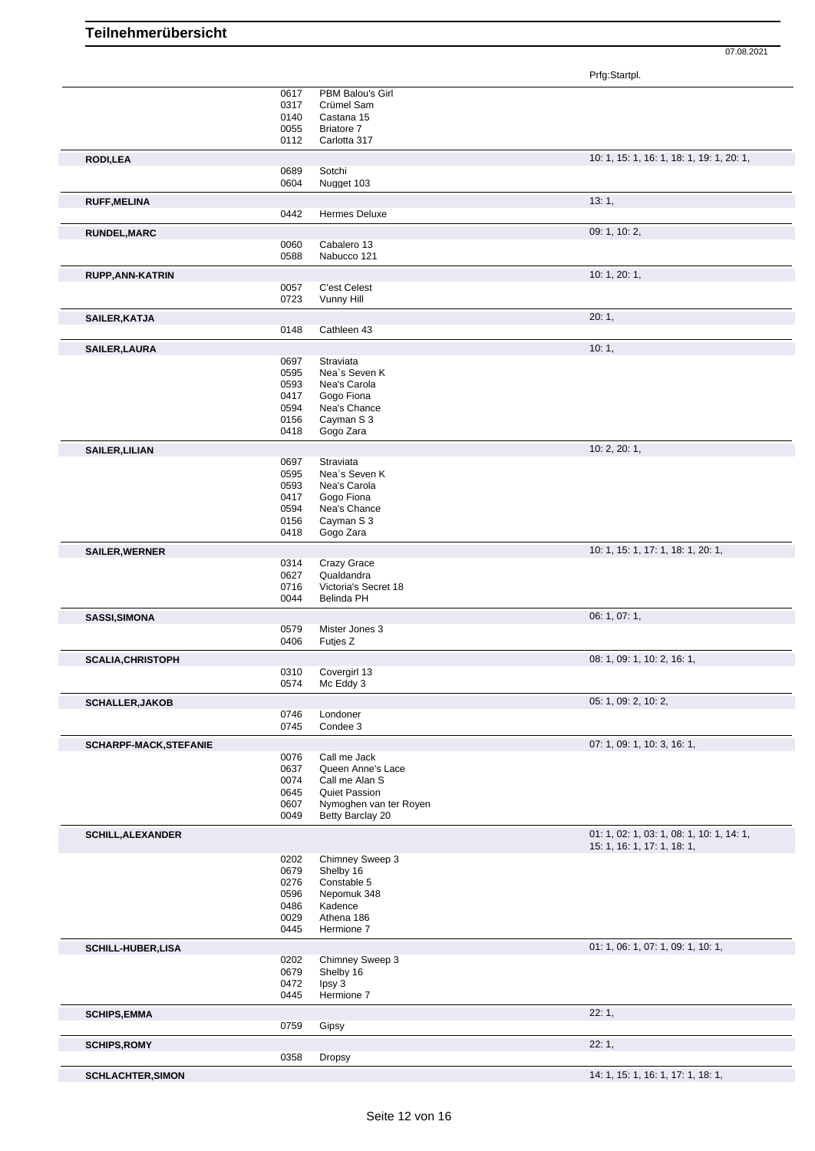Prfg:Startpl.

|                               | 0617 | PBM Balou's Girl       |                                           |
|-------------------------------|------|------------------------|-------------------------------------------|
|                               | 0317 | Crümel Sam             |                                           |
|                               | 0140 | Castana 15             |                                           |
|                               | 0055 | Briatore 7             |                                           |
|                               | 0112 | Carlotta 317           |                                           |
|                               |      |                        |                                           |
| RODI,LEA                      |      |                        | 10: 1, 15: 1, 16: 1, 18: 1, 19: 1, 20: 1, |
|                               | 0689 | Sotchi                 |                                           |
|                               | 0604 | Nugget 103             |                                           |
| <b>RUFF, MELINA</b>           |      |                        | 13:1,                                     |
|                               | 0442 | <b>Hermes Deluxe</b>   |                                           |
|                               |      |                        |                                           |
| <b>RUNDEL, MARC</b>           |      |                        | 09: 1, 10: 2,                             |
|                               | 0060 | Cabalero 13            |                                           |
|                               | 0588 | Nabucco 121            |                                           |
| <b>RUPP, ANN-KATRIN</b>       |      |                        | 10: 1, 20: 1,                             |
|                               | 0057 | C'est Celest           |                                           |
|                               | 0723 | Vunny Hill             |                                           |
| SAILER, KATJA                 |      |                        | 20:1,                                     |
|                               | 0148 | Cathleen 43            |                                           |
|                               |      |                        |                                           |
| SAILER, LAURA                 |      |                        | 10:1,                                     |
|                               | 0697 | Straviata              |                                           |
|                               | 0595 | Nea's Seven K          |                                           |
|                               | 0593 | Nea's Carola           |                                           |
|                               | 0417 | Gogo Fiona             |                                           |
|                               | 0594 | Nea's Chance           |                                           |
|                               | 0156 | Cayman S 3             |                                           |
|                               | 0418 | Gogo Zara              |                                           |
| <b>SAILER, LILIAN</b>         |      |                        | 10: 2, 20: 1,                             |
|                               | 0697 | Straviata              |                                           |
|                               | 0595 | Nea's Seven K          |                                           |
|                               | 0593 | Nea's Carola           |                                           |
|                               | 0417 | Gogo Fiona             |                                           |
|                               | 0594 | Nea's Chance           |                                           |
|                               | 0156 | Cayman S 3             |                                           |
|                               | 0418 | Gogo Zara              |                                           |
|                               |      |                        |                                           |
| SAILER, WERNER                |      |                        | 10: 1, 15: 1, 17: 1, 18: 1, 20: 1,        |
|                               | 0314 | Crazy Grace            |                                           |
|                               | 0627 | Qualdandra             |                                           |
|                               | 0716 | Victoria's Secret 18   |                                           |
|                               | 0044 | <b>Belinda PH</b>      |                                           |
| SASSI, SIMONA                 |      |                        | 06: 1, 07: 1,                             |
|                               | 0579 | Mister Jones 3         |                                           |
|                               | 0406 | Futjes Z               |                                           |
| <b>SCALIA, CHRISTOPH</b>      |      |                        | 08: 1, 09: 1, 10: 2, 16: 1,               |
|                               | 0310 | Covergirl 13           |                                           |
|                               | 0574 | Mc Eddy 3              |                                           |
|                               |      |                        |                                           |
| <b>SCHALLER, JAKOB</b>        |      |                        | 05: 1, 09: 2, 10: 2,                      |
|                               | 0746 | Londoner               |                                           |
|                               | 0745 | Condee 3               |                                           |
| <b>SCHARPF-MACK, STEFANIE</b> |      |                        | 07: 1, 09: 1, 10: 3, 16: 1,               |
|                               | 0076 | Call me Jack           |                                           |
|                               | 0637 | Queen Anne's Lace      |                                           |
|                               | 0074 | Call me Alan S         |                                           |
|                               | 0645 | <b>Quiet Passion</b>   |                                           |
|                               | 0607 | Nymoghen van ter Royen |                                           |
|                               | 0049 | Betty Barclay 20       |                                           |
|                               |      |                        |                                           |
| <b>SCHILL, ALEXANDER</b>      |      |                        | 01: 1, 02: 1, 03: 1, 08: 1, 10: 1, 14: 1, |
|                               |      |                        | 15: 1, 16: 1, 17: 1, 18: 1,               |
|                               | 0202 | Chimney Sweep 3        |                                           |
|                               | 0679 | Shelby 16              |                                           |
|                               | 0276 | Constable 5            |                                           |
|                               | 0596 | Nepomuk 348            |                                           |
|                               | 0486 | Kadence                |                                           |
|                               | 0029 | Athena 186             |                                           |
|                               | 0445 | Hermione 7             |                                           |
| <b>SCHILL-HUBER,LISA</b>      |      |                        | 01: 1, 06: 1, 07: 1, 09: 1, 10: 1,        |
|                               | 0202 | Chimney Sweep 3        |                                           |
|                               | 0679 | Shelby 16              |                                           |
|                               | 0472 | lpsy 3                 |                                           |
|                               | 0445 | Hermione 7             |                                           |
|                               |      |                        |                                           |
| <b>SCHIPS, EMMA</b>           |      |                        | 22:1,                                     |
|                               | 0759 | Gipsy                  |                                           |
| <b>SCHIPS, ROMY</b>           |      |                        | 22:1,                                     |
|                               | 0358 | Dropsy                 |                                           |
|                               |      |                        |                                           |
| <b>SCHLACHTER, SIMON</b>      |      |                        | 14: 1, 15: 1, 16: 1, 17: 1, 18: 1,        |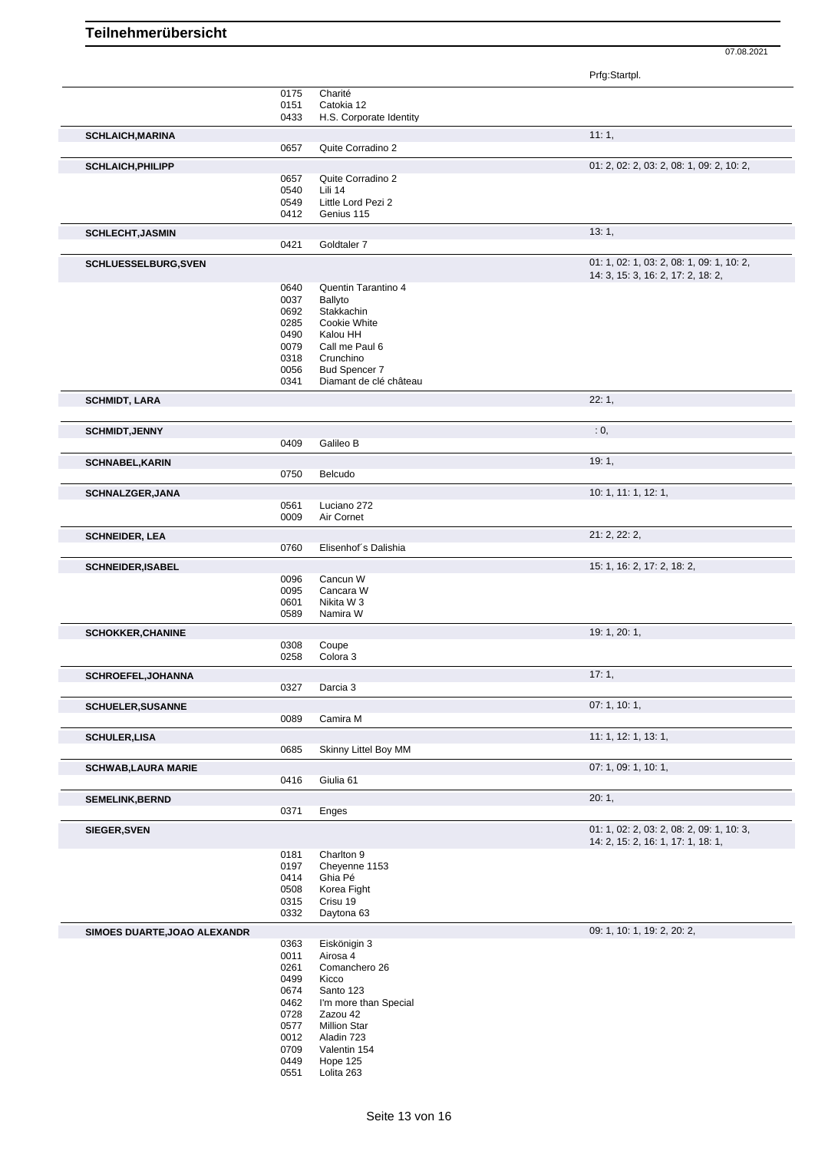Prfg:Startpl.

|                              | 0175         | Charité                       |                                           |
|------------------------------|--------------|-------------------------------|-------------------------------------------|
|                              | 0151         | Catokia 12                    |                                           |
|                              | 0433         | H.S. Corporate Identity       |                                           |
|                              |              |                               |                                           |
| <b>SCHLAICH, MARINA</b>      |              |                               | 11:1,                                     |
|                              | 0657         | Quite Corradino 2             |                                           |
|                              |              |                               |                                           |
| <b>SCHLAICH, PHILIPP</b>     |              |                               | 01: 2, 02: 2, 03: 2, 08: 1, 09: 2, 10: 2, |
|                              | 0657         | Quite Corradino 2             |                                           |
|                              | 0540         | Lili 14                       |                                           |
|                              | 0549         | Little Lord Pezi 2            |                                           |
|                              | 0412         | Genius 115                    |                                           |
| <b>SCHLECHT, JASMIN</b>      |              |                               | 13:1,                                     |
|                              | 0421         | Goldtaler 7                   |                                           |
|                              |              |                               |                                           |
| <b>SCHLUESSELBURG, SVEN</b>  |              |                               | 01: 1, 02: 1, 03: 2, 08: 1, 09: 1, 10: 2, |
|                              |              |                               | 14: 3, 15: 3, 16: 2, 17: 2, 18: 2,        |
|                              | 0640         | Quentin Tarantino 4           |                                           |
|                              | 0037         | Ballyto                       |                                           |
|                              | 0692         | Stakkachin                    |                                           |
|                              | 0285         | Cookie White                  |                                           |
|                              | 0490         | Kalou HH                      |                                           |
|                              |              |                               |                                           |
|                              | 0079         | Call me Paul 6                |                                           |
|                              | 0318         | Crunchino                     |                                           |
|                              | 0056         | <b>Bud Spencer 7</b>          |                                           |
|                              | 0341         | Diamant de clé château        |                                           |
| <b>SCHMIDT, LARA</b>         |              |                               | 22:1,                                     |
|                              |              |                               |                                           |
| <b>SCHMIDT, JENNY</b>        |              |                               | : 0,                                      |
|                              | 0409         | Galileo B                     |                                           |
|                              |              |                               | 19:1,                                     |
| <b>SCHNABEL, KARIN</b>       | 0750         | Belcudo                       |                                           |
|                              |              |                               |                                           |
| <b>SCHNALZGER, JANA</b>      |              |                               | 10: 1, 11: 1, 12: 1,                      |
|                              | 0561         | Luciano 272                   |                                           |
|                              | 0009         | Air Cornet                    |                                           |
| <b>SCHNEIDER, LEA</b>        |              |                               | 21: 2, 22: 2,                             |
|                              | 0760         | Elisenhof's Dalishia          |                                           |
|                              |              |                               |                                           |
| <b>SCHNEIDER, ISABEL</b>     |              |                               | 15: 1, 16: 2, 17: 2, 18: 2,               |
|                              | 0096         | Cancun W                      |                                           |
|                              | 0095         | Cancara W                     |                                           |
|                              | 0601         | Nikita W 3                    |                                           |
|                              | 0589         | Namira W                      |                                           |
| <b>SCHOKKER, CHANINE</b>     |              |                               | 19: 1, 20: 1,                             |
|                              | 0308         | Coupe                         |                                           |
|                              | 0258         | Colora 3                      |                                           |
|                              |              |                               |                                           |
| <b>SCHROEFEL, JOHANNA</b>    |              |                               | 17:1,                                     |
|                              | 0327         | Darcia 3                      |                                           |
| <b>SCHUELER, SUSANNE</b>     |              |                               | 07: 1, 10: 1,                             |
|                              | 0089         | Camira M                      |                                           |
| <b>SCHULER, LISA</b>         |              |                               | 11: 1, 12: 1, 13: 1,                      |
|                              | 0685         | Skinny Littel Boy MM          |                                           |
|                              |              |                               |                                           |
| <b>SCHWAB, LAURA MARIE</b>   |              | Giulia 61                     | 07: 1, 09: 1, 10: 1,                      |
|                              | 0416         |                               |                                           |
| <b>SEMELINK, BERND</b>       |              |                               | 20:1,                                     |
|                              | 0371         | Enges                         |                                           |
| <b>SIEGER, SVEN</b>          |              |                               | 01: 1, 02: 2, 03: 2, 08: 2, 09: 1, 10: 3, |
|                              |              |                               | 14: 2, 15: 2, 16: 1, 17: 1, 18: 1,        |
|                              | 0181         | Charlton 9                    |                                           |
|                              | 0197         | Cheyenne 1153                 |                                           |
|                              | 0414         | Ghia Pé                       |                                           |
|                              | 0508         | Korea Fight                   |                                           |
|                              | 0315         | Crisu 19                      |                                           |
|                              | 0332         | Daytona 63                    |                                           |
|                              |              |                               |                                           |
| SIMOES DUARTE, JOAO ALEXANDR |              |                               | 09: 1, 10: 1, 19: 2, 20: 2,               |
|                              | 0363         | Eiskönigin 3                  |                                           |
|                              | 0011         | Airosa 4                      |                                           |
|                              | 0261         | Comanchero 26                 |                                           |
|                              | 0499         | Kicco                         |                                           |
|                              | 0674         | Santo 123                     |                                           |
|                              | 0462         | I'm more than Special         |                                           |
|                              | 0728         | Zazou 42                      |                                           |
|                              |              |                               |                                           |
|                              | 0577         | <b>Million Star</b>           |                                           |
|                              | 0012         | Aladin 723                    |                                           |
|                              | 0709         | Valentin 154                  |                                           |
|                              |              |                               |                                           |
|                              | 0449<br>0551 | <b>Hope 125</b><br>Lolita 263 |                                           |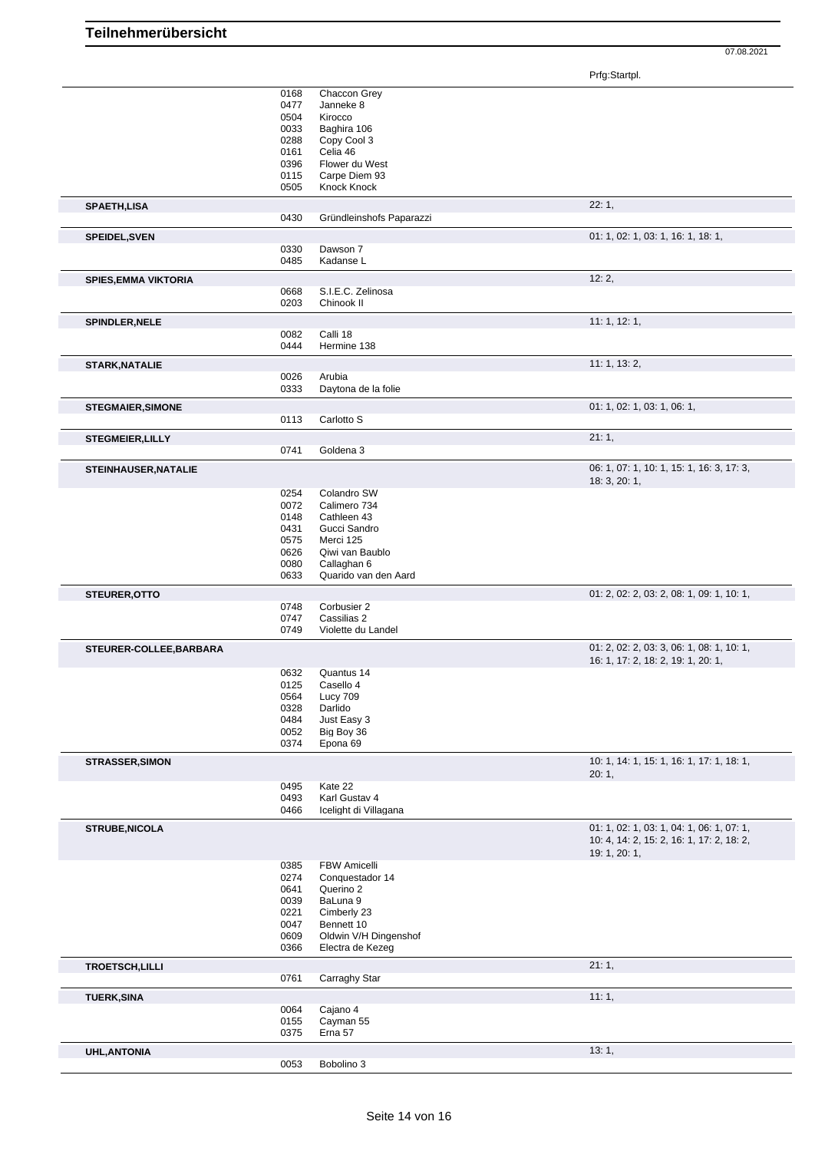Prfg:Startpl.

|                                                                      | 0168 | Chaccon Grey             |                                           |
|----------------------------------------------------------------------|------|--------------------------|-------------------------------------------|
|                                                                      | 0477 | Janneke 8                |                                           |
|                                                                      | 0504 | Kirocco                  |                                           |
|                                                                      |      |                          |                                           |
|                                                                      | 0033 | Baghira 106              |                                           |
|                                                                      | 0288 | Copy Cool 3              |                                           |
|                                                                      | 0161 | Celia 46                 |                                           |
|                                                                      | 0396 | Flower du West           |                                           |
|                                                                      | 0115 | Carpe Diem 93            |                                           |
|                                                                      | 0505 | Knock Knock              |                                           |
|                                                                      |      |                          | 22:1,                                     |
| SPAETH, LISA                                                         |      |                          |                                           |
|                                                                      | 0430 | Gründleinshofs Paparazzi |                                           |
| <b>SPEIDEL, SVEN</b>                                                 |      |                          | 01: 1, 02: 1, 03: 1, 16: 1, 18: 1,        |
|                                                                      | 0330 | Dawson 7                 |                                           |
|                                                                      | 0485 | Kadanse L                |                                           |
|                                                                      |      |                          |                                           |
| <b>SPIES, EMMA VIKTORIA</b>                                          |      |                          | 12:2,                                     |
|                                                                      | 0668 | S.I.E.C. Zelinosa        |                                           |
|                                                                      | 0203 | Chinook II               |                                           |
|                                                                      |      |                          |                                           |
| <b>SPINDLER, NELE</b>                                                |      |                          | 11:1, 12:1,                               |
|                                                                      | 0082 | Calli 18                 |                                           |
|                                                                      | 0444 | Hermine 138              |                                           |
|                                                                      |      |                          |                                           |
| <b>STARK, NATALIE</b>                                                |      |                          | 11: 1, 13: 2,                             |
|                                                                      | 0026 | Arubia                   |                                           |
|                                                                      | 0333 | Daytona de la folie      |                                           |
|                                                                      |      |                          |                                           |
| <b>STEGMAIER, SIMONE</b>                                             |      |                          | 01: 1, 02: 1, 03: 1, 06: 1,               |
|                                                                      | 0113 | Carlotto S               |                                           |
|                                                                      |      |                          |                                           |
| <b>STEGMEIER, LILLY</b>                                              |      |                          | 21:1,                                     |
|                                                                      | 0741 | Goldena 3                |                                           |
|                                                                      |      |                          | 06: 1, 07: 1, 10: 1, 15: 1, 16: 3, 17: 3, |
| STEINHAUSER, NATALIE                                                 |      |                          |                                           |
|                                                                      |      |                          | 18: 3, 20: 1,                             |
|                                                                      | 0254 | Colandro SW              |                                           |
|                                                                      | 0072 | Calimero 734             |                                           |
|                                                                      | 0148 | Cathleen 43              |                                           |
|                                                                      | 0431 | Gucci Sandro             |                                           |
|                                                                      | 0575 | Merci 125                |                                           |
|                                                                      |      |                          |                                           |
|                                                                      | 0626 | Qiwi van Baublo          |                                           |
|                                                                      | 0080 | Callaghan 6              |                                           |
|                                                                      | 0633 | Quarido van den Aard     |                                           |
|                                                                      |      |                          |                                           |
|                                                                      |      |                          |                                           |
|                                                                      |      |                          | 01: 2, 02: 2, 03: 2, 08: 1, 09: 1, 10: 1, |
| STEURER, OTTO                                                        | 0748 | Corbusier 2              |                                           |
|                                                                      | 0747 | Cassilias 2              |                                           |
|                                                                      | 0749 | Violette du Landel       |                                           |
|                                                                      |      |                          |                                           |
|                                                                      |      |                          | 01: 2, 02: 2, 03: 3, 06: 1, 08: 1, 10: 1, |
|                                                                      |      |                          | 16: 1, 17: 2, 18: 2, 19: 1, 20: 1,        |
|                                                                      | 0632 | Quantus 14               |                                           |
|                                                                      | 0125 | Casello 4                |                                           |
|                                                                      | 0564 | Lucy 709                 |                                           |
|                                                                      | 0328 | Darlido                  |                                           |
|                                                                      | 0484 | Just Easy 3              |                                           |
|                                                                      | 0052 | Big Boy 36               |                                           |
|                                                                      | 0374 |                          |                                           |
|                                                                      |      | Epona 69                 |                                           |
|                                                                      |      |                          | 10: 1, 14: 1, 15: 1, 16: 1, 17: 1, 18: 1, |
|                                                                      |      |                          | 20:1,                                     |
|                                                                      | 0495 | Kate 22                  |                                           |
|                                                                      | 0493 | Karl Gustav 4            |                                           |
|                                                                      | 0466 | Icelight di Villagana    |                                           |
|                                                                      |      |                          |                                           |
|                                                                      |      |                          | 01: 1, 02: 1, 03: 1, 04: 1, 06: 1, 07: 1, |
|                                                                      |      |                          | 10: 4, 14: 2, 15: 2, 16: 1, 17: 2, 18: 2, |
|                                                                      |      |                          | 19: 1, 20: 1,                             |
|                                                                      |      |                          |                                           |
|                                                                      | 0385 | <b>FBW Amicelli</b>      |                                           |
|                                                                      | 0274 | Conquestador 14          |                                           |
|                                                                      | 0641 | Querino 2                |                                           |
|                                                                      | 0039 | BaLuna 9                 |                                           |
|                                                                      | 0221 | Cimberly 23              |                                           |
|                                                                      | 0047 | Bennett 10               |                                           |
|                                                                      | 0609 | Oldwin V/H Dingenshof    |                                           |
|                                                                      |      |                          |                                           |
|                                                                      | 0366 | Electra de Kezeg         |                                           |
|                                                                      |      |                          | 21:1,                                     |
|                                                                      | 0761 | Carraghy Star            |                                           |
|                                                                      |      |                          |                                           |
| STEURER-COLLEE, BARBARA<br><b>STRASSER, SIMON</b>                    |      |                          | 11:1,                                     |
|                                                                      | 0064 | Cajano 4                 |                                           |
| <b>STRUBE, NICOLA</b><br><b>TROETSCH,LILLI</b><br><b>TUERK, SINA</b> | 0155 | Cayman 55                |                                           |
|                                                                      | 0375 | Erna 57                  |                                           |
| <b>UHL, ANTONIA</b>                                                  |      |                          | 13:1,                                     |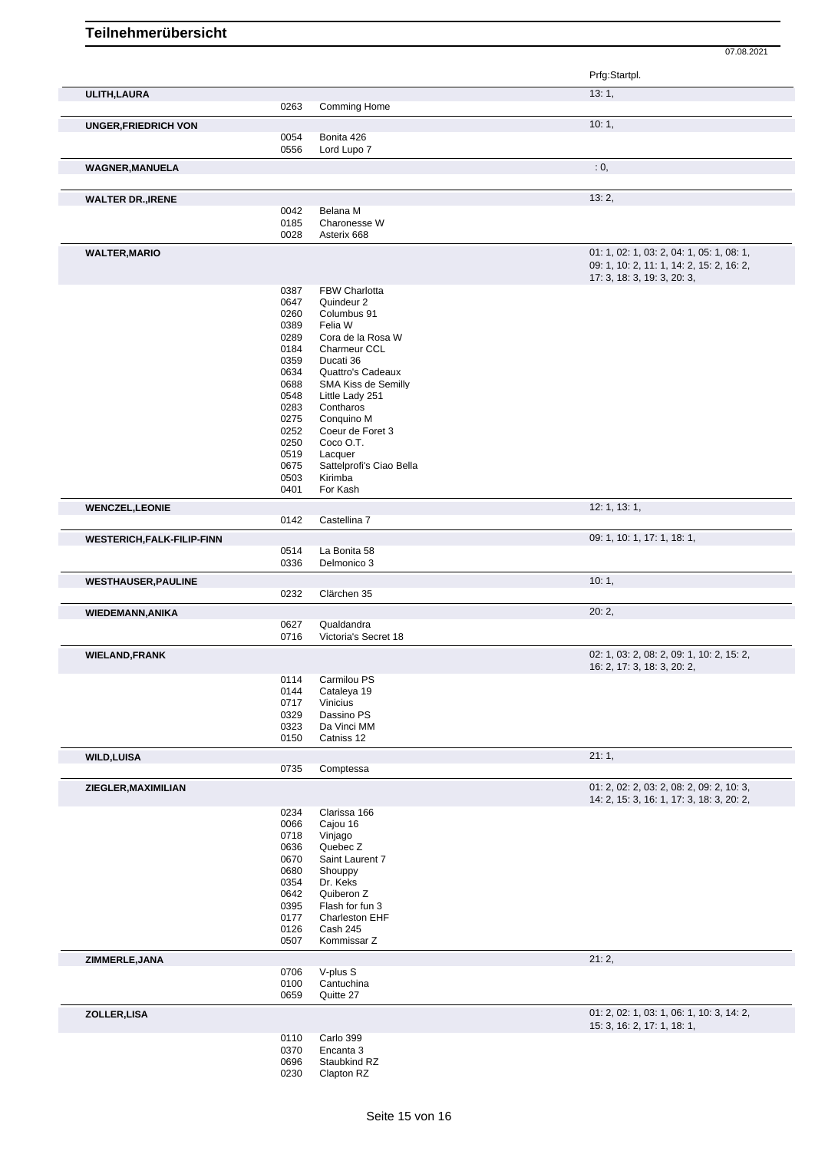07.08.2021 Prfg:Startpl. **ULITH,LAURA** 13: 1, 0263 Comming Home **UNGER, FRIEDRICH VON 10: 1, 20: 1, 20: 1, 20: 1, 20: 1, 20: 1, 20: 1, 20: 1, 20: 1, 20: 1, 20: 1, 20: 1, 20: 1, 20: 1, 20: 1, 20: 1, 20: 1, 20: 1, 20: 1, 20: 1, 20: 1, 20: 1, 20: 1, 20: 1, 20: 1, 20: 1, 20: 1, 20: 2, 2,** 0054 Bonita 426<br>0556 Lord Lupo Lord Lupo 7 **WAGNER,MANUELA** : 0, **WALTER DR.,IRENE** 13: 2, 0042 Belana M<br>0185 Charones 0185 Charonesse W<br>0028 Asterix 668 Asterix 668 **WALTER,MARIO** 01: 1, 02: 1, 03: 2, 04: 1, 05: 1, 08: 1, 09: 1, 10: 2, 11: 1, 14: 2, 15: 2, 16: 2, 17: 3, 18: 3, 19: 3, 20: 3, 0387 FBW Charlotta<br>0647 Quindeur 2 Quindeur 2 0260 Columbus 91<br>0389 Felia W 0389 Felia W<br>0289 Cora de 0289 Cora de la Rosa W<br>0184 Charmeur CCL 0184 Charmeur CCL<br>0359 Ducati 36 0359 Ducati 36<br>0634 Quattro's 0634 Quattro's Cadeaux<br>0688 SMA Kiss de Semil 0688 SMA Kiss de Semilly<br>0548 Little Lady 251 0548 Little Lady 251<br>0283 Contharos 0283 Contharos<br>0275 Conguino 0275 Conquino M<br>0252 Coeur de Fo 0252 Coeur de Foret 3<br>0250 Coco O.T. 0250 Coco O.T.<br>0519 Lacquer 0519 Lacquer<br>0675 Sattelpre Sattelprofi's Ciao Bella 0503 Kirimba 0401 For Kash **WENCZEL,LEONIE** 12: 1, 13: 1, 0142 Castellina 7 **WESTERICH,FALK-FILIP-FINN** 09: 1, 10: 1, 17: 1, 18: 1, 0514 La Bonita 58 0336 Delmonico 3 **WESTHAUSER, PAULINE** 10: 1, 0232 Clärchen 35 **WIEDEMANN,ANIKA** 20: 2, 0627 Qualdandra<br>0716 Victoria's Se Victoria's Secret 18 **WIELAND,FRANK** 02: 1, 03: 2, 08: 2, 09: 1, 10: 2, 15: 2, 16: 2, 17: 3, 18: 3, 20: 2, 0114 Carmilou PS<br>0144 Cataleya 19 0144 Cataleya 19<br>0717 Vinicius 0717 Vinicius<br>0329 Dassino Dassino PS 0323 Da Vinci MM 0150 Catniss 12 **WILD,LUISA** 21: 1, 0735 Comptessa **ZIEGLER,MAXIMILIAN** 01: 2, 02: 2, 03: 2, 08: 2, 09: 2, 10: 3, 14: 2, 15: 3, 16: 1, 17: 3, 18: 3, 20: 2, 0234 Clarissa 166<br>0066 Cajou 16 0066 Cajou 16<br>0718 Vinjago 0718 Vinjago<br>0636 Quebec 0636 Quebec Z<br>0670 Saint Laur 0670 Saint Laurent 7<br>0680 Shouppy 0680 Shouppy<br>0354 Dr. Keks 0354 Dr. Keks<br>0642 Quiberon 0642 Quiberon Z<br>0395 Flash for fu 0395 Flash for fun 3<br>0177 Charleston EH 0177 Charleston EHF<br>0126 Cash 245 0126 Cash 245<br>0507 Kommissa 0507 Kommissar Z **ZIMMERLE,JANA** 21: 2, 0706 V-plus S<br>0100 Cantuchi 0100 Cantuchina<br>0659 Quitte 27 Quitte 27 **ZOLLER,LISA** 01: 2, 02: 1, 03: 1, 06: 1, 10: 3, 14: 2, 15: 3, 16: 2, 17: 1, 18: 1, 0110 Carlo 399 0370 Encanta 3 0696 Staubkind RZ<br>0230 Clapton RZ

Clapton RZ